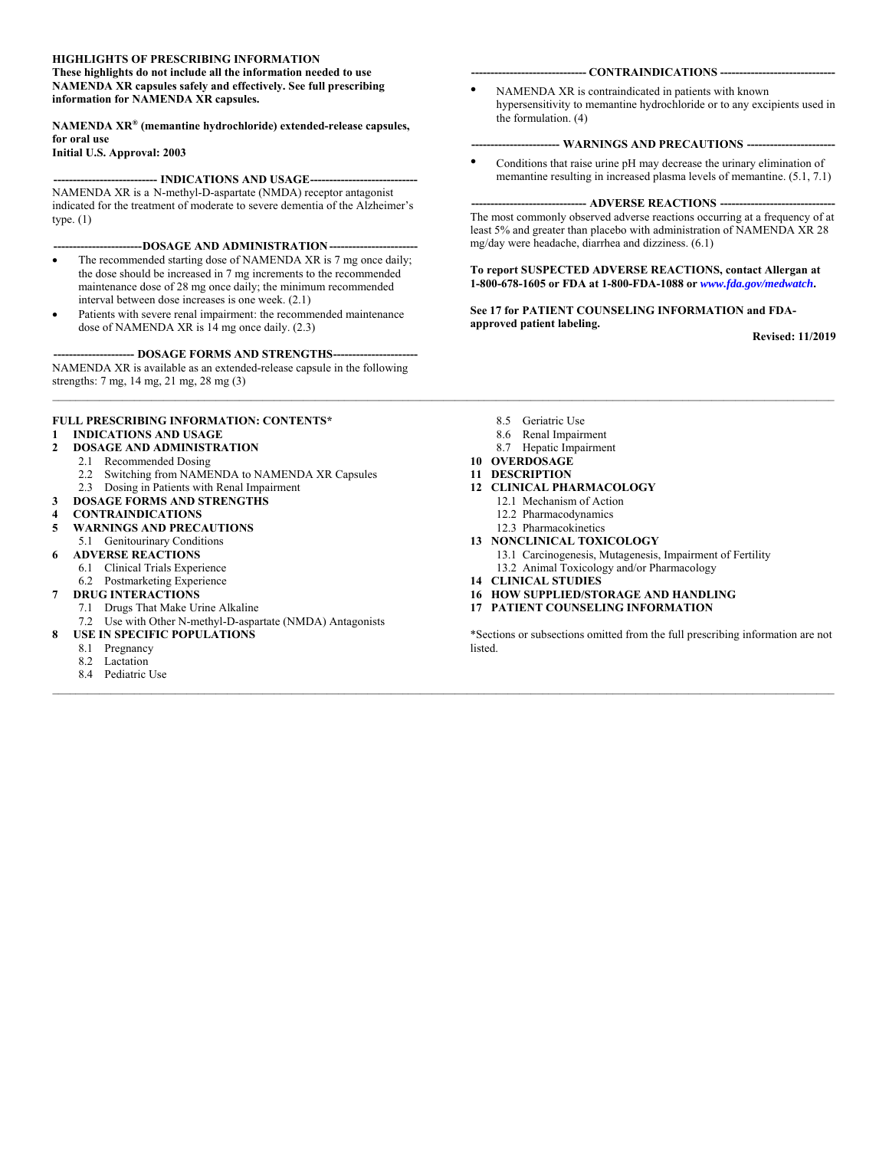#### **HIGHLIGHTS OF PRESCRIBING INFORMATION**

**These highlights do not include all the information needed to use NAMENDA XR capsules safely and effectively. See full prescribing information for NAMENDA XR capsules.** 

#### **NAMENDA XR® (memantine hydrochloride) extended-release capsules, for oral use**

**Initial U.S. Approval: 2003** 

#### --- INDICATIONS AND USAGE-----

NAMENDA XR is a N-methyl-D-aspartate (NMDA) receptor antagonist indicated for the treatment of moderate to severe dementia of the Alzheimer's type. (1)

#### ---DOSAGE AND ADMINISTRATION ---

- The recommended starting dose of NAMENDA XR is 7 mg once daily; the dose should be increased in 7 mg increments to the recommended maintenance dose of 28 mg once daily; the minimum recommended interval between dose increases is one week. (2.1)
- Patients with severe renal impairment: the recommended maintenance dose of NAMENDA XR is 14 mg once daily. (2.3)

---- DOSAGE FORMS AND STRENGTHS-----NAMENDA XR is available as an extended-release capsule in the following strengths: 7 mg, 14 mg, 21 mg, 28 mg (3)

#### **FULL PRESCRIBING INFORMATION: CONTENTS\***

#### **1 INDICATIONS AND USAGE**

#### **2 DOSAGE AND ADMINISTRATION**

- 2.1 Recommended Dosing
- 2.2 Switching from NAMENDA to NAMENDA XR Capsules
- 2.3 Dosing in Patients with Renal Impairment
- **3 DOSAGE FORMS AND STRENGTHS**
- **4 CONTRAINDICATIONS**
- **5 WARNINGS AND PRECAUTIONS**
- 5.1 Genitourinary Conditions
- **6 ADVERSE REACTIONS** 6.1 Clinical Trials Experience
	- 6.2 Postmarketing Experience
- **7 DRUG INTERACTIONS**
	- 7.1 Drugs That Make Urine Alkaline
- 7.2 Use with Other N-methyl-D-aspartate (NMDA) Antagonists
- **8 USE IN SPECIFIC POPULATIONS**
	- 8.1 Pregnancy
	- 8.2 Lactation
	- 8.4 Pediatric Use

#### **------------------------------ CONTRAINDICATIONS ------------------------------**

NAMENDA XR is contraindicated in patients with known hypersensitivity to memantine hydrochloride or to any excipients used in the formulation. (4)

#### ---- WARNINGS AND PRECAUTIONS -----

• Conditions that raise urine pH may decrease the urinary elimination of memantine resulting in increased plasma levels of memantine. (5.1, 7.1)

#### -- ADVERSE REACTIONS --

The most commonly observed adverse reactions occurring at a frequency of at least 5% and greater than placebo with administration of NAMENDA XR 28 mg/day were headache, diarrhea and dizziness. (6.1)

#### **To report SUSPECTED ADVERSE REACTIONS, contact Allergan at 1-800-678-1605 or FDA at 1-800-FDA-1088 or** *www.fda.gov/medwatch***.**

#### **See 17 for PATIENT COUNSELING INFORMATION and FDAapproved patient labeling.**

**Revised: 11/2019** 

- 8.5 Geriatric Use
- 8.6 Renal Impairment
- 8.7 Hepatic Impairment

#### **10 OVERDOSAGE**

#### **11 DESCRIPTION**

 $\_$  , and the state of the state of the state of the state of the state of the state of the state of the state of the state of the state of the state of the state of the state of the state of the state of the state of the

 $\mathcal{L} = \{ \mathcal{L} = \{ \mathcal{L} = \{ \mathcal{L} = \{ \mathcal{L} = \{ \mathcal{L} = \{ \mathcal{L} = \{ \mathcal{L} = \{ \mathcal{L} = \{ \mathcal{L} = \{ \mathcal{L} = \{ \mathcal{L} = \{ \mathcal{L} = \{ \mathcal{L} = \{ \mathcal{L} = \{ \mathcal{L} = \{ \mathcal{L} = \{ \mathcal{L} = \{ \mathcal{L} = \{ \mathcal{L} = \{ \mathcal{L} = \{ \mathcal{L} = \{ \mathcal{L} = \{ \mathcal{L} = \{ \mathcal{$ 

- **12 CLINICAL PHARMACOLOGY**
	- 12.1 Mechanism of Action
	- 12.2 Pharmacodynamics
	- 12.3 Pharmacokinetics
- **13 NONCLINICAL TOXICOLOGY**
	- 13.1 Carcinogenesis, Mutagenesis, Impairment of Fertility
	- 13.2 Animal Toxicology and/or Pharmacology
- **14 CLINICAL STUDIES**
- **16 HOW SUPPLIED/STORAGE AND HANDLING**
- **17 PATIENT COUNSELING INFORMATION**

\*Sections or subsections omitted from the full prescribing information are not listed.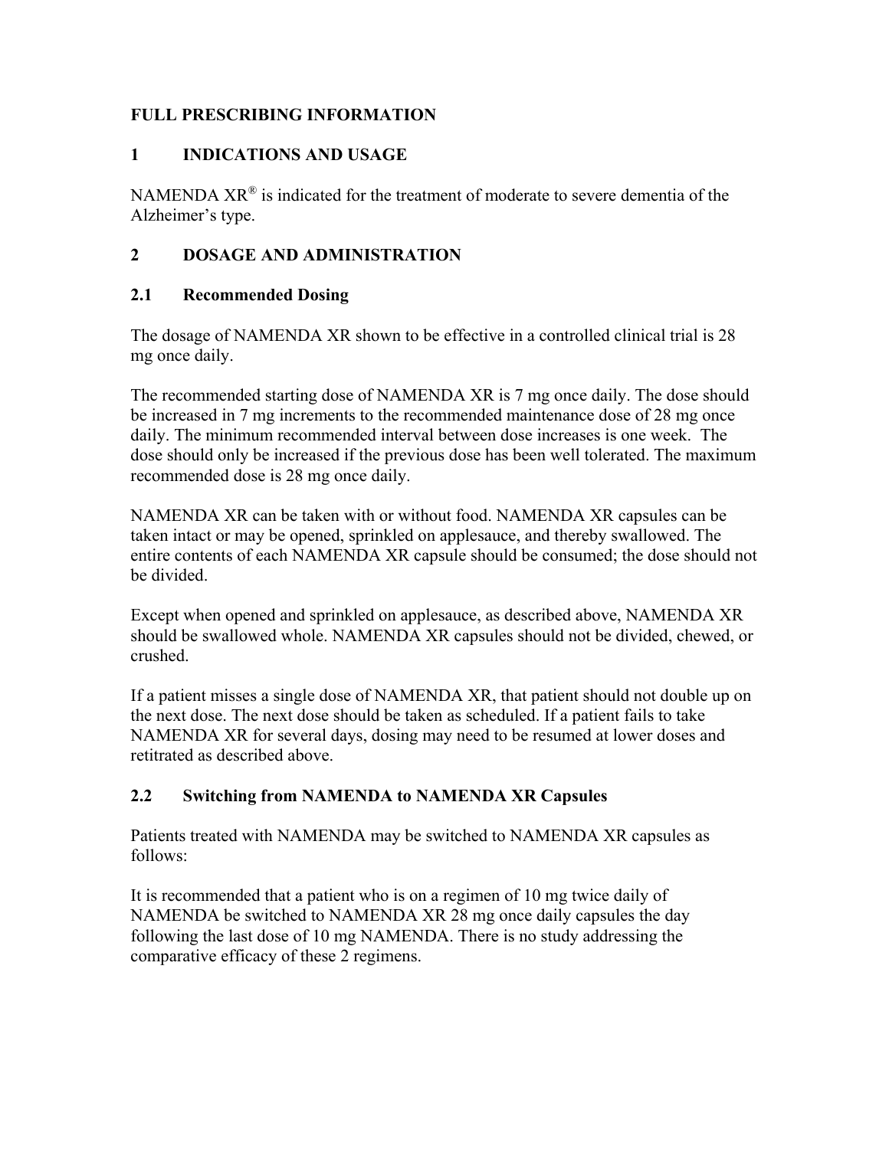## **FULL PRESCRIBING INFORMATION**

## **1 INDICATIONS AND USAGE**

NAMENDA  $XR^{\circledR}$  is indicated for the treatment of moderate to severe dementia of the Alzheimer's type.

## **2 DOSAGE AND ADMINISTRATION**

## **2.1 Recommended Dosing**

The dosage of NAMENDA XR shown to be effective in a controlled clinical trial is 28 mg once daily.

The recommended starting dose of NAMENDA XR is 7 mg once daily. The dose should be increased in 7 mg increments to the recommended maintenance dose of 28 mg once daily. The minimum recommended interval between dose increases is one week. The dose should only be increased if the previous dose has been well tolerated. The maximum recommended dose is 28 mg once daily.

NAMENDA XR can be taken with or without food. NAMENDA XR capsules can be taken intact or may be opened, sprinkled on applesauce, and thereby swallowed. The entire contents of each NAMENDA XR capsule should be consumed; the dose should not be divided.

Except when opened and sprinkled on applesauce, as described above, NAMENDA XR should be swallowed whole. NAMENDA XR capsules should not be divided, chewed, or crushed.

If a patient misses a single dose of NAMENDA XR, that patient should not double up on the next dose. The next dose should be taken as scheduled. If a patient fails to take NAMENDA XR for several days, dosing may need to be resumed at lower doses and retitrated as described above.

## **2.2 Switching from NAMENDA to NAMENDA XR Capsules**

Patients treated with NAMENDA may be switched to NAMENDA XR capsules as follows:

It is recommended that a patient who is on a regimen of 10 mg twice daily of NAMENDA be switched to NAMENDA XR 28 mg once daily capsules the day following the last dose of 10 mg NAMENDA. There is no study addressing the comparative efficacy of these 2 regimens.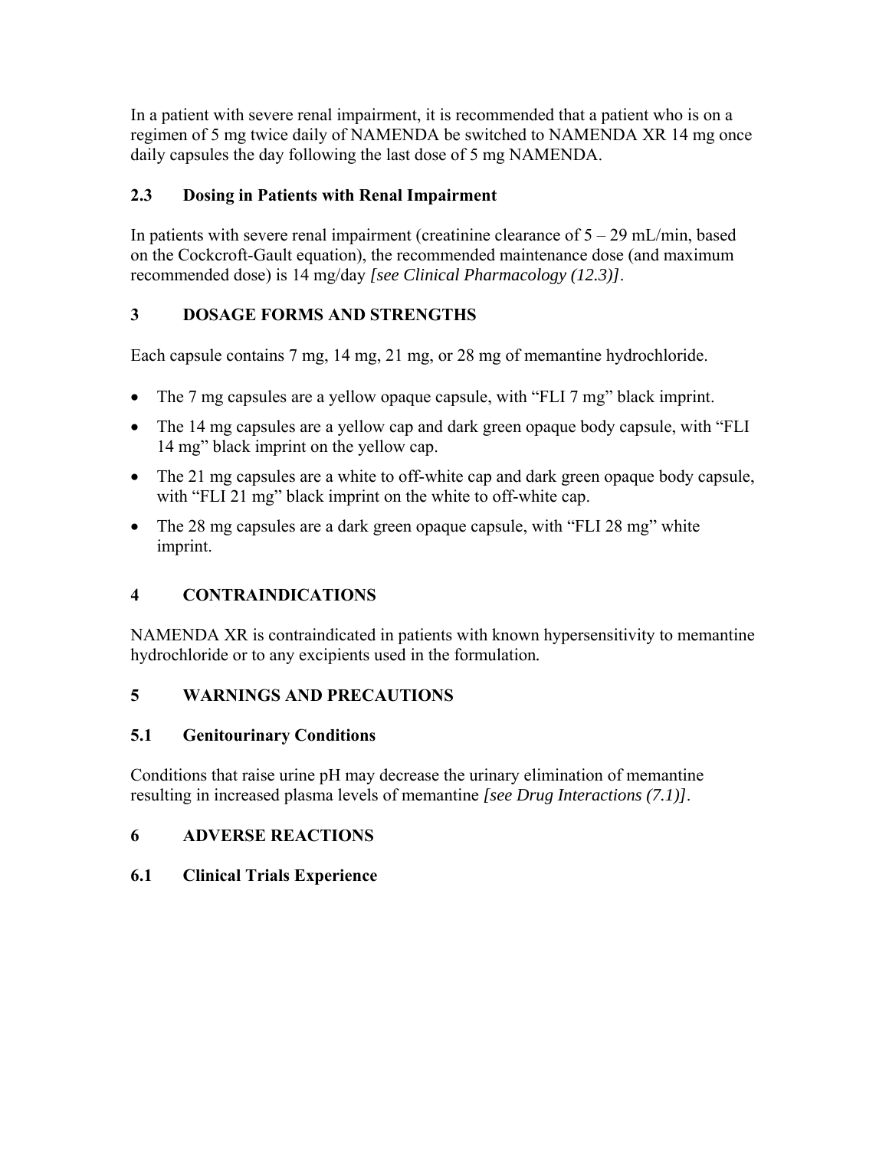In a patient with severe renal impairment, it is recommended that a patient who is on a regimen of 5 mg twice daily of NAMENDA be switched to NAMENDA XR 14 mg once daily capsules the day following the last dose of 5 mg NAMENDA.

# **2.3 Dosing in Patients with Renal Impairment**

In patients with severe renal impairment (creatinine clearance of  $5 - 29$  mL/min, based on the Cockcroft-Gault equation), the recommended maintenance dose (and maximum recommended dose) is 14 mg/day *[see Clinical Pharmacology (12.3)]*.

# **3 DOSAGE FORMS AND STRENGTHS**

Each capsule contains 7 mg, 14 mg, 21 mg, or 28 mg of memantine hydrochloride.

- The 7 mg capsules are a yellow opaque capsule, with "FLI 7 mg" black imprint.
- The 14 mg capsules are a yellow cap and dark green opaque body capsule, with "FLI" 14 mg" black imprint on the yellow cap.
- The 21 mg capsules are a white to off-white cap and dark green opaque body capsule, with "FLI 21 mg" black imprint on the white to off-white cap.
- The 28 mg capsules are a dark green opaque capsule, with "FLI 28 mg" white imprint.

# **4 CONTRAINDICATIONS**

NAMENDA XR is contraindicated in patients with known hypersensitivity to memantine hydrochloride or to any excipients used in the formulation*.* 

## **5 WARNINGS AND PRECAUTIONS**

## **5.1 Genitourinary Conditions**

Conditions that raise urine pH may decrease the urinary elimination of memantine resulting in increased plasma levels of memantine *[see Drug Interactions (7.1)]*.

## **6 ADVERSE REACTIONS**

## **6.1 Clinical Trials Experience**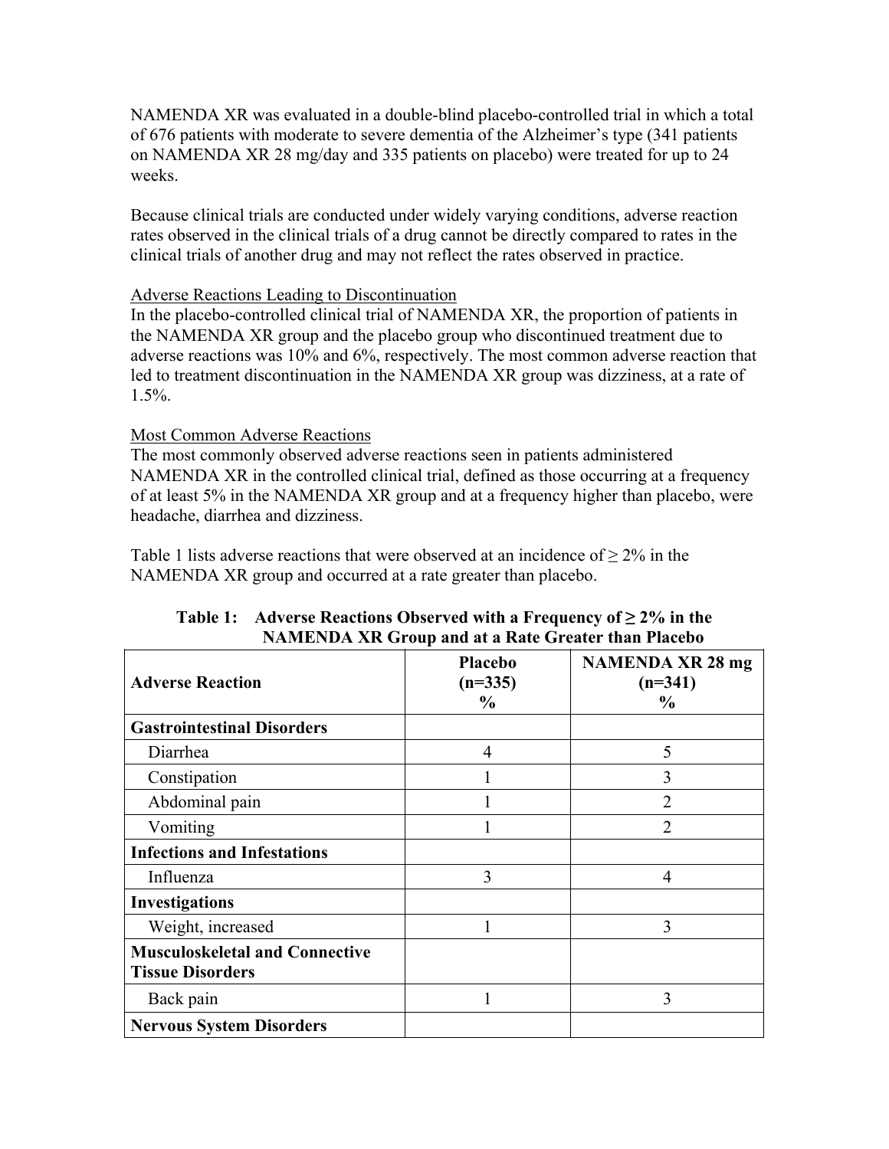NAMENDA XR was evaluated in a double-blind placebo-controlled trial in which a total of 676 patients with moderate to severe dementia of the Alzheimer's type (341 patients on NAMENDA XR 28 mg/day and 335 patients on placebo) were treated for up to 24 weeks.

Because clinical trials are conducted under widely varying conditions, adverse reaction rates observed in the clinical trials of a drug cannot be directly compared to rates in the clinical trials of another drug and may not reflect the rates observed in practice.

### Adverse Reactions Leading to Discontinuation

In the placebo-controlled clinical trial of NAMENDA XR, the proportion of patients in the NAMENDA XR group and the placebo group who discontinued treatment due to adverse reactions was 10% and 6%, respectively. The most common adverse reaction that led to treatment discontinuation in the NAMENDA XR group was dizziness, at a rate of 1.5%.

## Most Common Adverse Reactions

The most commonly observed adverse reactions seen in patients administered NAMENDA XR in the controlled clinical trial, defined as those occurring at a frequency of at least 5% in the NAMENDA XR group and at a frequency higher than placebo, were headache, diarrhea and dizziness.

Table 1 lists adverse reactions that were observed at an incidence of  $> 2\%$  in the NAMENDA XR group and occurred at a rate greater than placebo.

| <b>Adverse Reaction</b>                                          | <b>Placebo</b><br>$(n=335)$<br>$\frac{6}{9}$ | <b>NAMENDA XR 28 mg</b><br>$(n=341)$<br>$\frac{6}{9}$ |
|------------------------------------------------------------------|----------------------------------------------|-------------------------------------------------------|
| <b>Gastrointestinal Disorders</b>                                |                                              |                                                       |
| Diarrhea                                                         | $\overline{4}$                               | 5                                                     |
| Constipation                                                     |                                              | 3                                                     |
| Abdominal pain                                                   |                                              | $\overline{2}$                                        |
| Vomiting                                                         |                                              | $\overline{2}$                                        |
| <b>Infections and Infestations</b>                               |                                              |                                                       |
| Influenza                                                        | 3                                            | 4                                                     |
| <b>Investigations</b>                                            |                                              |                                                       |
| Weight, increased                                                |                                              | 3                                                     |
| <b>Musculoskeletal and Connective</b><br><b>Tissue Disorders</b> |                                              |                                                       |
| Back pain                                                        |                                              | 3                                                     |
| <b>Nervous System Disorders</b>                                  |                                              |                                                       |

#### **Table 1:** Adverse Reactions Observed with a Frequency of  $\geq 2\%$  in the **NAMENDA XR Group and at a Rate Greater than Placebo**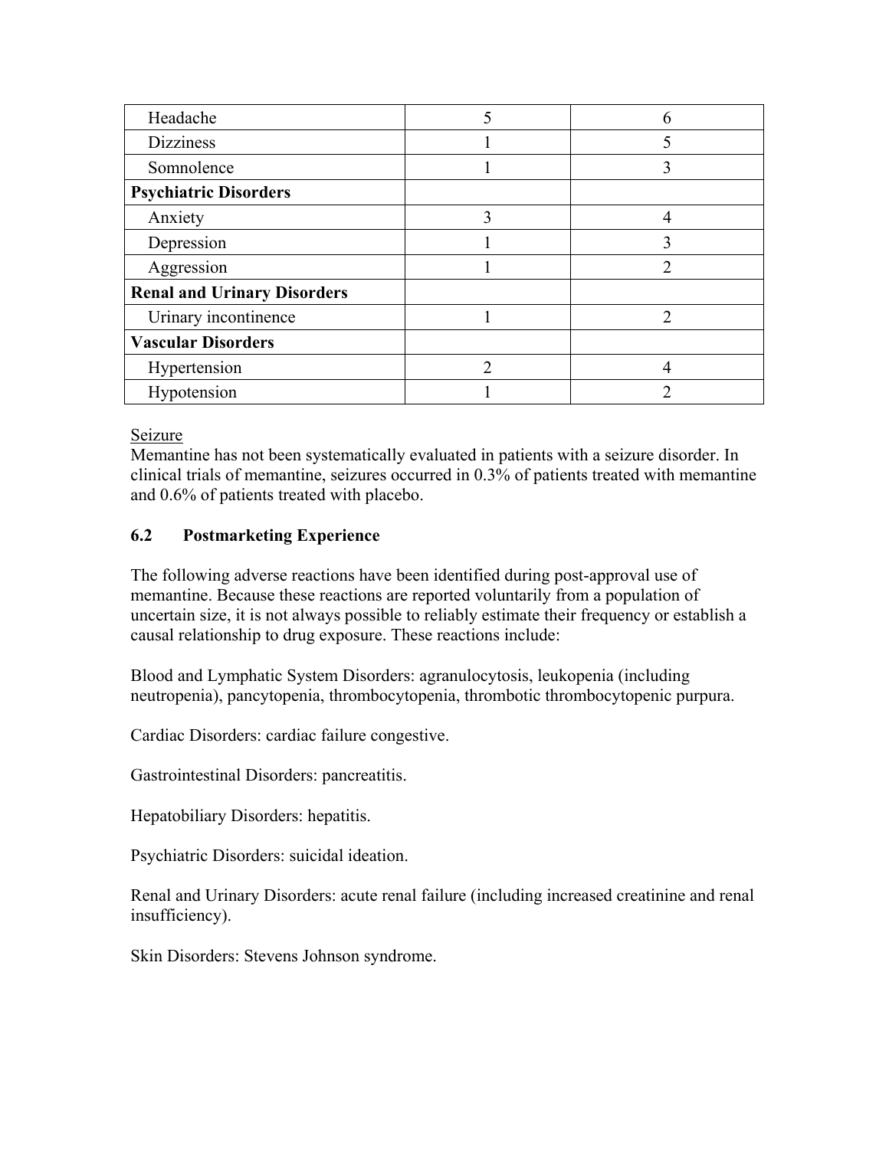| Headache                           |   |   |
|------------------------------------|---|---|
| <b>Dizziness</b>                   |   |   |
| Somnolence                         |   |   |
| <b>Psychiatric Disorders</b>       |   |   |
| Anxiety                            | 3 |   |
| Depression                         |   |   |
| Aggression                         |   | ∍ |
| <b>Renal and Urinary Disorders</b> |   |   |
| Urinary incontinence               |   |   |
| <b>Vascular Disorders</b>          |   |   |
| Hypertension                       |   |   |
| Hypotension                        |   |   |

### Seizure

Memantine has not been systematically evaluated in patients with a seizure disorder. In clinical trials of memantine, seizures occurred in 0.3% of patients treated with memantine and 0.6% of patients treated with placebo.

## **6.2 Postmarketing Experience**

The following adverse reactions have been identified during post-approval use of memantine. Because these reactions are reported voluntarily from a population of uncertain size, it is not always possible to reliably estimate their frequency or establish a causal relationship to drug exposure. These reactions include:

Blood and Lymphatic System Disorders: agranulocytosis, leukopenia (including neutropenia), pancytopenia, thrombocytopenia, thrombotic thrombocytopenic purpura.

Cardiac Disorders: cardiac failure congestive.

Gastrointestinal Disorders: pancreatitis.

Hepatobiliary Disorders: hepatitis.

Psychiatric Disorders: suicidal ideation.

Renal and Urinary Disorders: acute renal failure (including increased creatinine and renal insufficiency).

Skin Disorders: Stevens Johnson syndrome.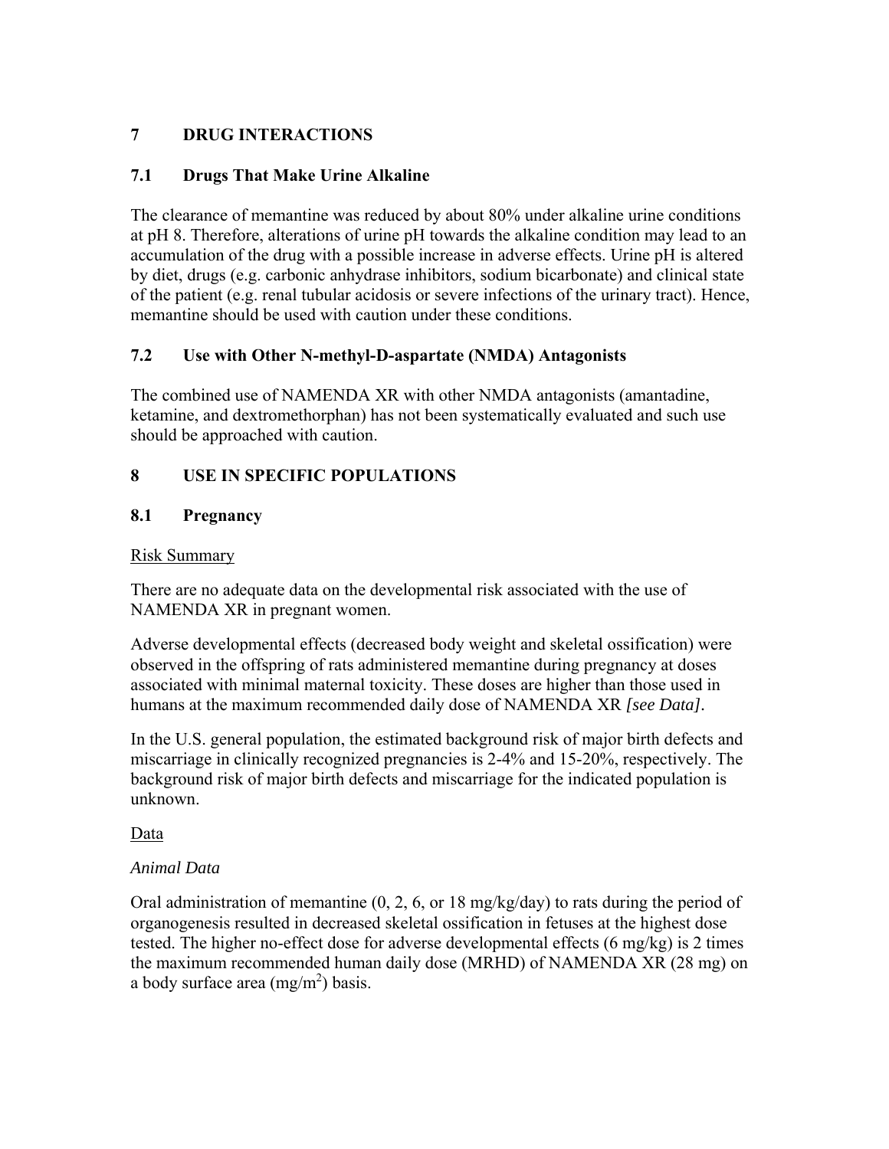## **7 DRUG INTERACTIONS**

## **7.1 Drugs That Make Urine Alkaline**

The clearance of memantine was reduced by about 80% under alkaline urine conditions at pH 8. Therefore, alterations of urine pH towards the alkaline condition may lead to an accumulation of the drug with a possible increase in adverse effects. Urine pH is altered by diet, drugs (e.g. carbonic anhydrase inhibitors, sodium bicarbonate) and clinical state of the patient (e.g. renal tubular acidosis or severe infections of the urinary tract). Hence, memantine should be used with caution under these conditions.

## **7.2 Use with Other N-methyl-D-aspartate (NMDA) Antagonists**

The combined use of NAMENDA XR with other NMDA antagonists (amantadine, ketamine, and dextromethorphan) has not been systematically evaluated and such use should be approached with caution.

## **8 USE IN SPECIFIC POPULATIONS**

## **8.1 Pregnancy**

## Risk Summary

There are no adequate data on the developmental risk associated with the use of NAMENDA XR in pregnant women.

Adverse developmental effects (decreased body weight and skeletal ossification) were observed in the offspring of rats administered memantine during pregnancy at doses associated with minimal maternal toxicity. These doses are higher than those used in humans at the maximum recommended daily dose of NAMENDA XR *[see Data].*

In the U.S. general population, the estimated background risk of major birth defects and miscarriage in clinically recognized pregnancies is 2-4% and 15-20%, respectively. The background risk of major birth defects and miscarriage for the indicated population is unknown.

Data

## *Animal Data*

Oral administration of memantine (0, 2, 6, or 18 mg/kg/day) to rats during the period of organogenesis resulted in decreased skeletal ossification in fetuses at the highest dose tested. The higher no-effect dose for adverse developmental effects (6 mg/kg) is 2 times the maximum recommended human daily dose (MRHD) of NAMENDA XR (28 mg) on a body surface area  $(mg/m^2)$  basis.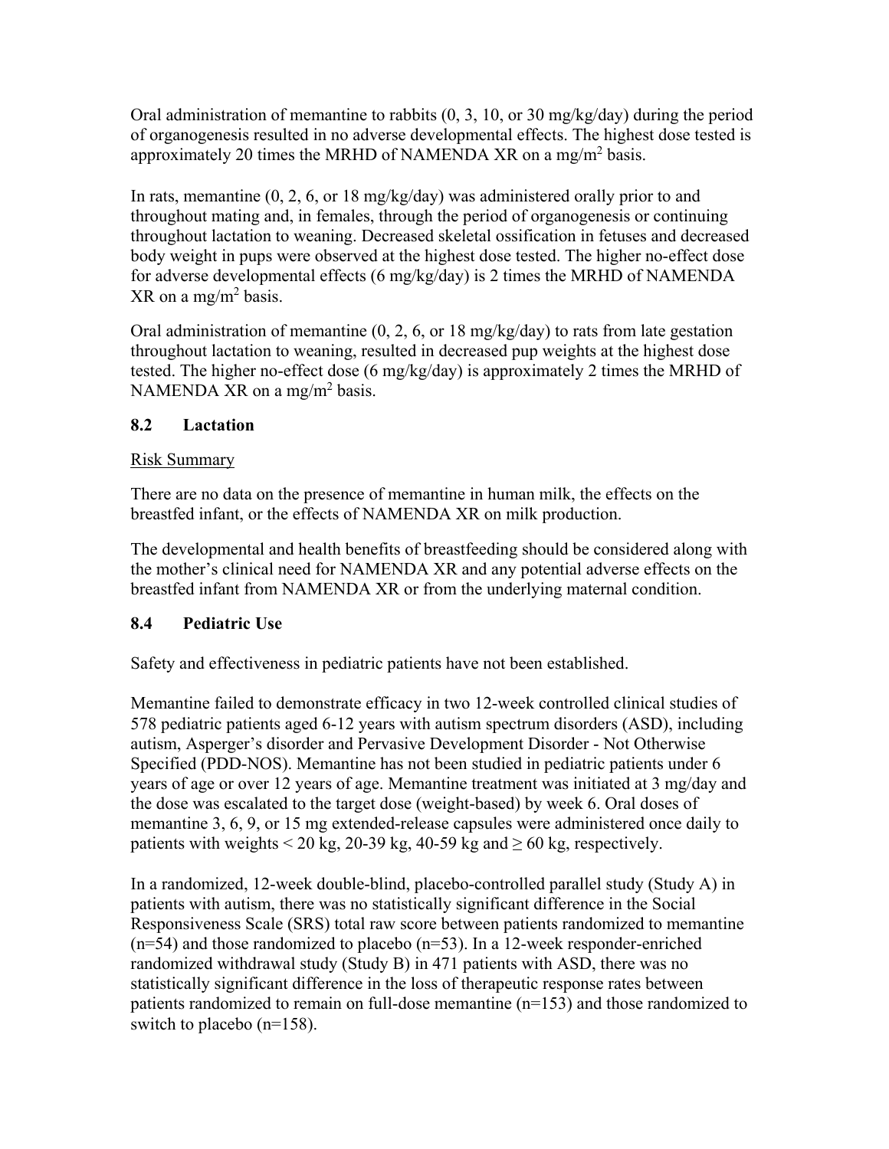Oral administration of memantine to rabbits (0, 3, 10, or 30 mg/kg/day) during the period of organogenesis resulted in no adverse developmental effects. The highest dose tested is approximately 20 times the MRHD of NAMENDA XR on a mg/m<sup>2</sup> basis.

In rats, memantine (0, 2, 6, or 18 mg/kg/day) was administered orally prior to and throughout mating and, in females, through the period of organogenesis or continuing throughout lactation to weaning. Decreased skeletal ossification in fetuses and decreased body weight in pups were observed at the highest dose tested. The higher no-effect dose for adverse developmental effects (6 mg/kg/day) is 2 times the MRHD of NAMENDA  $XR$  on a mg/m<sup>2</sup> basis.

Oral administration of memantine  $(0, 2, 6, \text{ or } 18 \text{ mg/kg/day})$  to rats from late gestation throughout lactation to weaning, resulted in decreased pup weights at the highest dose tested. The higher no-effect dose (6 mg/kg/day) is approximately 2 times the MRHD of NAMENDA XR on a mg/m<sup>2</sup> basis.

## **8.2 Lactation**

## Risk Summary

There are no data on the presence of memantine in human milk, the effects on the breastfed infant, or the effects of NAMENDA XR on milk production.

The developmental and health benefits of breastfeeding should be considered along with the mother's clinical need for NAMENDA XR and any potential adverse effects on the breastfed infant from NAMENDA XR or from the underlying maternal condition.

## **8.4 Pediatric Use**

Safety and effectiveness in pediatric patients have not been established.

Memantine failed to demonstrate efficacy in two 12-week controlled clinical studies of 578 pediatric patients aged 6-12 years with autism spectrum disorders (ASD), including autism, Asperger's disorder and Pervasive Development Disorder - Not Otherwise Specified (PDD-NOS). Memantine has not been studied in pediatric patients under 6 years of age or over 12 years of age. Memantine treatment was initiated at 3 mg/day and the dose was escalated to the target dose (weight-based) by week 6. Oral doses of memantine 3, 6, 9, or 15 mg extended-release capsules were administered once daily to patients with weights < 20 kg, 20-39 kg, 40-59 kg and  $\geq$  60 kg, respectively.

In a randomized, 12-week double-blind, placebo-controlled parallel study (Study A) in patients with autism, there was no statistically significant difference in the Social Responsiveness Scale (SRS) total raw score between patients randomized to memantine  $(n=54)$  and those randomized to placebo  $(n=53)$ . In a 12-week responder-enriched randomized withdrawal study (Study B) in 471 patients with ASD, there was no statistically significant difference in the loss of therapeutic response rates between patients randomized to remain on full-dose memantine (n=153) and those randomized to switch to placebo (n=158).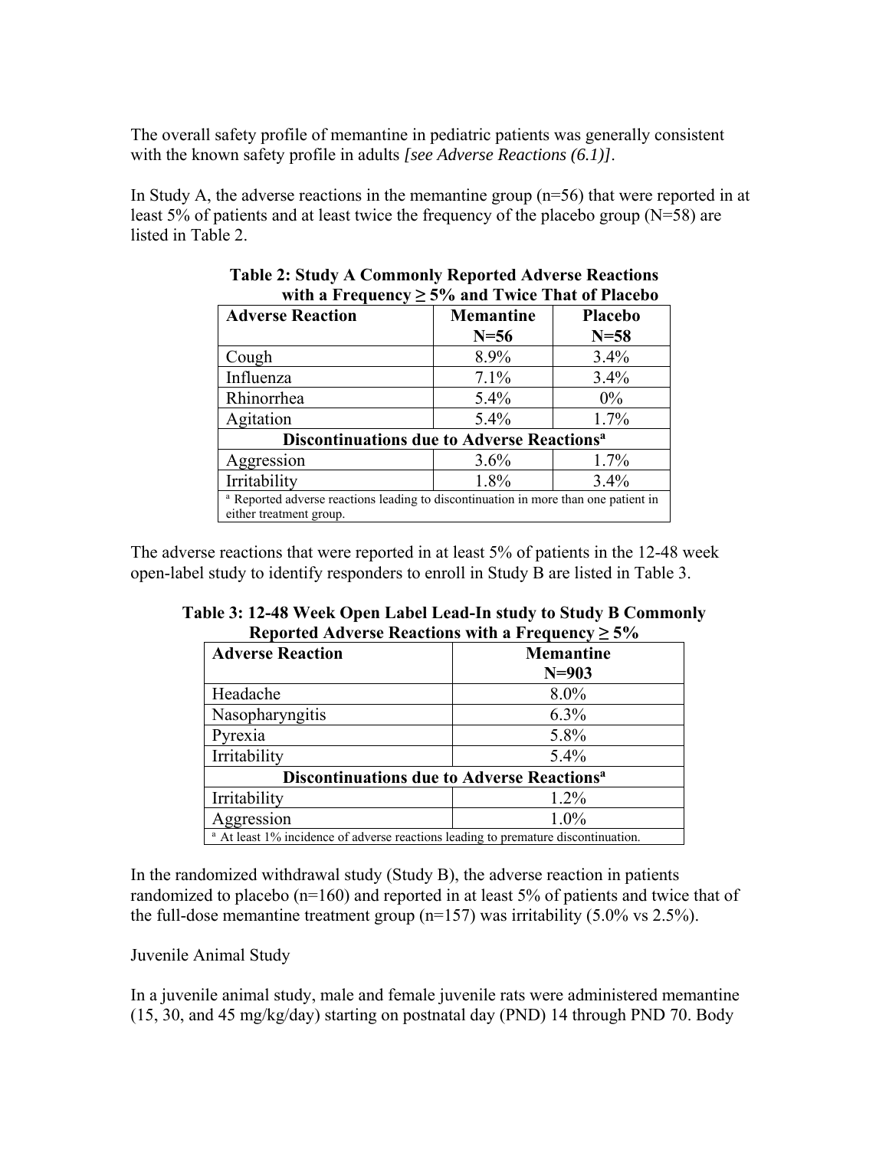The overall safety profile of memantine in pediatric patients was generally consistent with the known safety profile in adults *[see Adverse Reactions (6.1)]*.

In Study A, the adverse reactions in the memantine group (n=56) that were reported in at least 5% of patients and at least twice the frequency of the placebo group (N=58) are listed in Table 2.

| with a Prequency $\leq 3/6$ and Twice That of Flacebo                                                                     |                  |                |
|---------------------------------------------------------------------------------------------------------------------------|------------------|----------------|
| <b>Adverse Reaction</b>                                                                                                   | <b>Memantine</b> | <b>Placebo</b> |
|                                                                                                                           | $N=56$           | $N=58$         |
| Cough                                                                                                                     | 8.9%             | 3.4%           |
| Influenza                                                                                                                 | 7.1%             | 3.4%           |
| Rhinorrhea                                                                                                                | $5.4\%$          | $0\%$          |
| Agitation                                                                                                                 | $5.4\%$          | 1.7%           |
| <b>Discontinuations due to Adverse Reactions<sup>a</sup></b>                                                              |                  |                |
| Aggression                                                                                                                | 3.6%             | 1.7%           |
| Irritability                                                                                                              | 1.8%             | $3.4\%$        |
| <sup>a</sup> Reported adverse reactions leading to discontinuation in more than one patient in<br>either treatment group. |                  |                |

#### **Table 2: Study A Commonly Reported Adverse Reactions**  with a Frequency  $> 5\%$  and Twice That of Placebo

The adverse reactions that were reported in at least 5% of patients in the 12-48 week open-label study to identify responders to enroll in Study B are listed in Table 3.

| Reported Adverse Reactions with a Frequency $\geq 5\%$                                        |                  |  |
|-----------------------------------------------------------------------------------------------|------------------|--|
| <b>Adverse Reaction</b>                                                                       | <b>Memantine</b> |  |
|                                                                                               | $N = 903$        |  |
| Headache                                                                                      | $8.0\%$          |  |
| Nasopharyngitis                                                                               | $6.3\%$          |  |
| Pyrexia                                                                                       | 5.8%             |  |
| Irritability                                                                                  | 5.4%             |  |
| <b>Discontinuations due to Adverse Reactions<sup>a</sup></b>                                  |                  |  |
| Irritability                                                                                  | 1.2%             |  |
| Aggression                                                                                    | $1.0\%$          |  |
| <sup>a</sup> At least 1% incidence of adverse reactions leading to premature discontinuation. |                  |  |

**Table 3: 12-48 Week Open Label Lead-In study to Study B Commonly Reported Adverse Pogotions with a Frequency**  $\ge$  **≥0/** 

In the randomized withdrawal study (Study B), the adverse reaction in patients randomized to placebo (n=160) and reported in at least 5% of patients and twice that of the full-dose memantine treatment group ( $n=157$ ) was irritability (5.0% vs 2.5%).

## Juvenile Animal Study

In a juvenile animal study, male and female juvenile rats were administered memantine (15, 30, and 45 mg/kg/day) starting on postnatal day (PND) 14 through PND 70. Body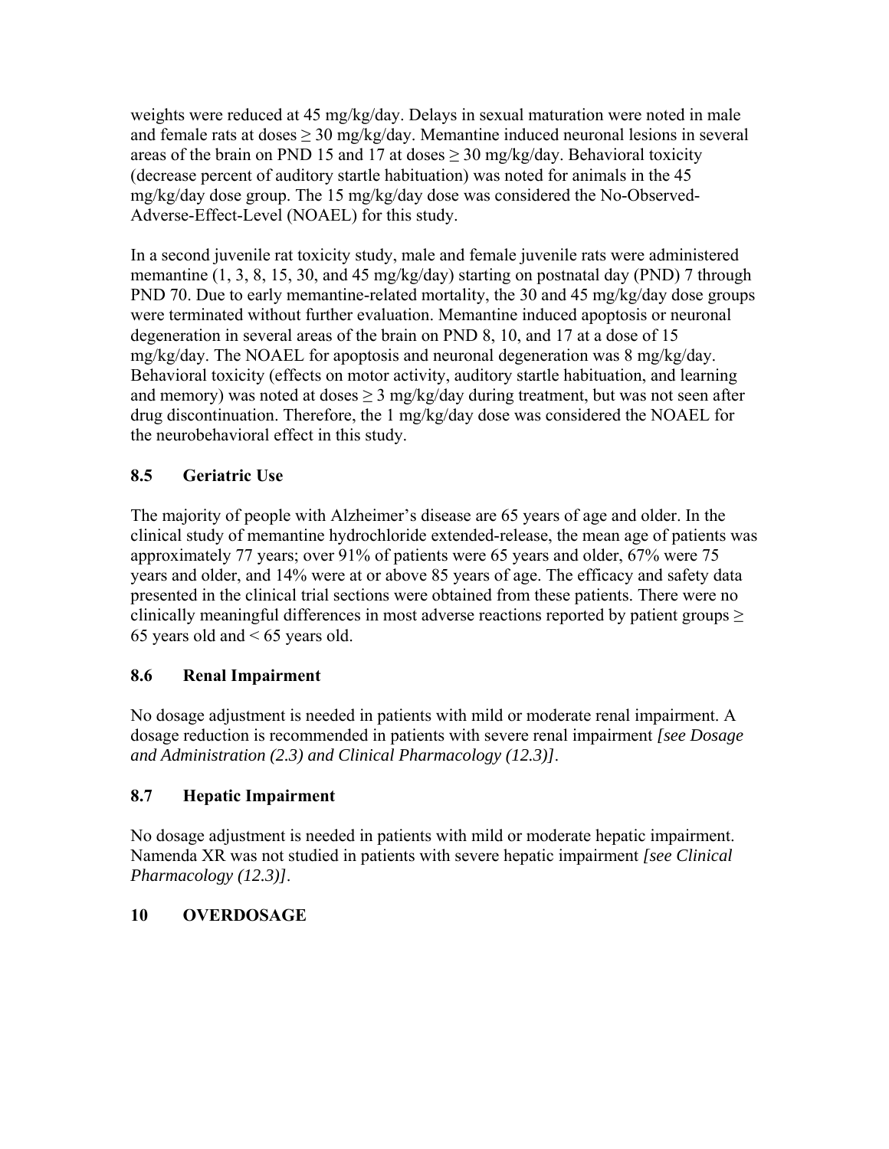weights were reduced at 45 mg/kg/day. Delays in sexual maturation were noted in male and female rats at doses  $\geq 30$  mg/kg/day. Memantine induced neuronal lesions in several areas of the brain on PND 15 and 17 at doses  $\geq$  30 mg/kg/day. Behavioral toxicity (decrease percent of auditory startle habituation) was noted for animals in the 45 mg/kg/day dose group. The 15 mg/kg/day dose was considered the No-Observed-Adverse-Effect-Level (NOAEL) for this study.

In a second juvenile rat toxicity study, male and female juvenile rats were administered memantine (1, 3, 8, 15, 30, and 45 mg/kg/day) starting on postnatal day (PND) 7 through PND 70. Due to early memantine-related mortality, the 30 and 45 mg/kg/day dose groups were terminated without further evaluation. Memantine induced apoptosis or neuronal degeneration in several areas of the brain on PND 8, 10, and 17 at a dose of 15 mg/kg/day. The NOAEL for apoptosis and neuronal degeneration was 8 mg/kg/day. Behavioral toxicity (effects on motor activity, auditory startle habituation, and learning and memory) was noted at doses  $\geq 3$  mg/kg/day during treatment, but was not seen after drug discontinuation. Therefore, the 1 mg/kg/day dose was considered the NOAEL for the neurobehavioral effect in this study.

# **8.5 Geriatric Use**

The majority of people with Alzheimer's disease are 65 years of age and older. In the clinical study of memantine hydrochloride extended-release, the mean age of patients was approximately 77 years; over 91% of patients were 65 years and older, 67% were 75 years and older, and 14% were at or above 85 years of age. The efficacy and safety data presented in the clinical trial sections were obtained from these patients. There were no clinically meaningful differences in most adverse reactions reported by patient groups  $\geq$ 65 years old and < 65 years old.

# **8.6 Renal Impairment**

No dosage adjustment is needed in patients with mild or moderate renal impairment. A dosage reduction is recommended in patients with severe renal impairment *[see Dosage and Administration (2.3) and Clinical Pharmacology (12.3)]*.

## **8.7 Hepatic Impairment**

No dosage adjustment is needed in patients with mild or moderate hepatic impairment. Namenda XR was not studied in patients with severe hepatic impairment *[see Clinical Pharmacology (12.3)]*.

## **10 OVERDOSAGE**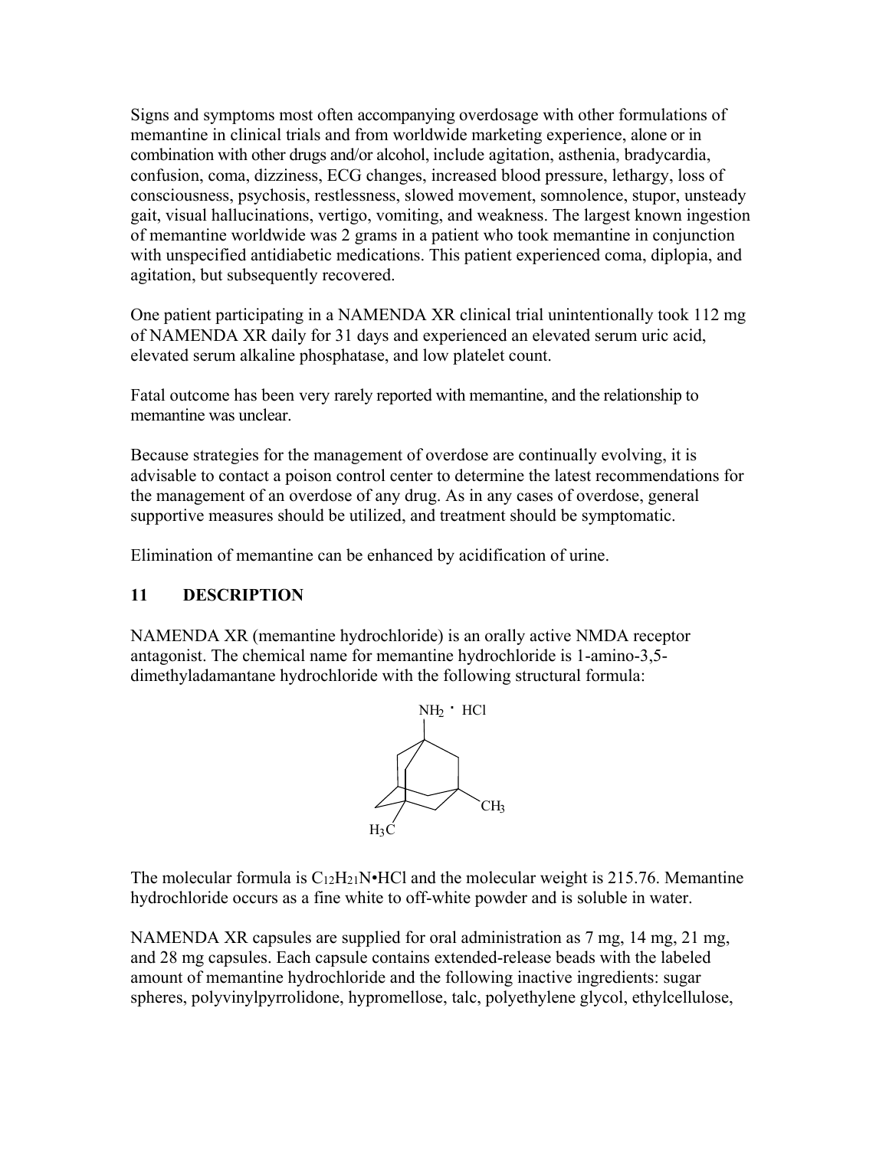Signs and symptoms most often accompanying overdosage with other formulations of memantine in clinical trials and from worldwide marketing experience, alone or in combination with other drugs and/or alcohol, include agitation, asthenia, bradycardia, confusion, coma, dizziness, ECG changes, increased blood pressure, lethargy, loss of consciousness, psychosis, restlessness, slowed movement, somnolence, stupor, unsteady gait, visual hallucinations, vertigo, vomiting, and weakness. The largest known ingestion of memantine worldwide was 2 grams in a patient who took memantine in conjunction with unspecified antidiabetic medications. This patient experienced coma, diplopia, and agitation, but subsequently recovered.

One patient participating in a NAMENDA XR clinical trial unintentionally took 112 mg of NAMENDA XR daily for 31 days and experienced an elevated serum uric acid, elevated serum alkaline phosphatase, and low platelet count.

Fatal outcome has been very rarely reported with memantine, and the relationship to memantine was unclear.

Because strategies for the management of overdose are continually evolving, it is advisable to contact a poison control center to determine the latest recommendations for the management of an overdose of any drug. As in any cases of overdose, general supportive measures should be utilized, and treatment should be symptomatic.

Elimination of memantine can be enhanced by acidification of urine.

## **11 DESCRIPTION**

NAMENDA XR (memantine hydrochloride) is an orally active NMDA receptor antagonist. The chemical name for memantine hydrochloride is 1-amino-3,5 dimethyladamantane hydrochloride with the following structural formula:



The molecular formula is  $C_{12}H_{21}N \cdot HCl$  and the molecular weight is 215.76. Memantine hydrochloride occurs as a fine white to off-white powder and is soluble in water.

NAMENDA XR capsules are supplied for oral administration as 7 mg, 14 mg, 21 mg, and 28 mg capsules. Each capsule contains extended-release beads with the labeled amount of memantine hydrochloride and the following inactive ingredients: sugar spheres, polyvinylpyrrolidone, hypromellose, talc, polyethylene glycol, ethylcellulose,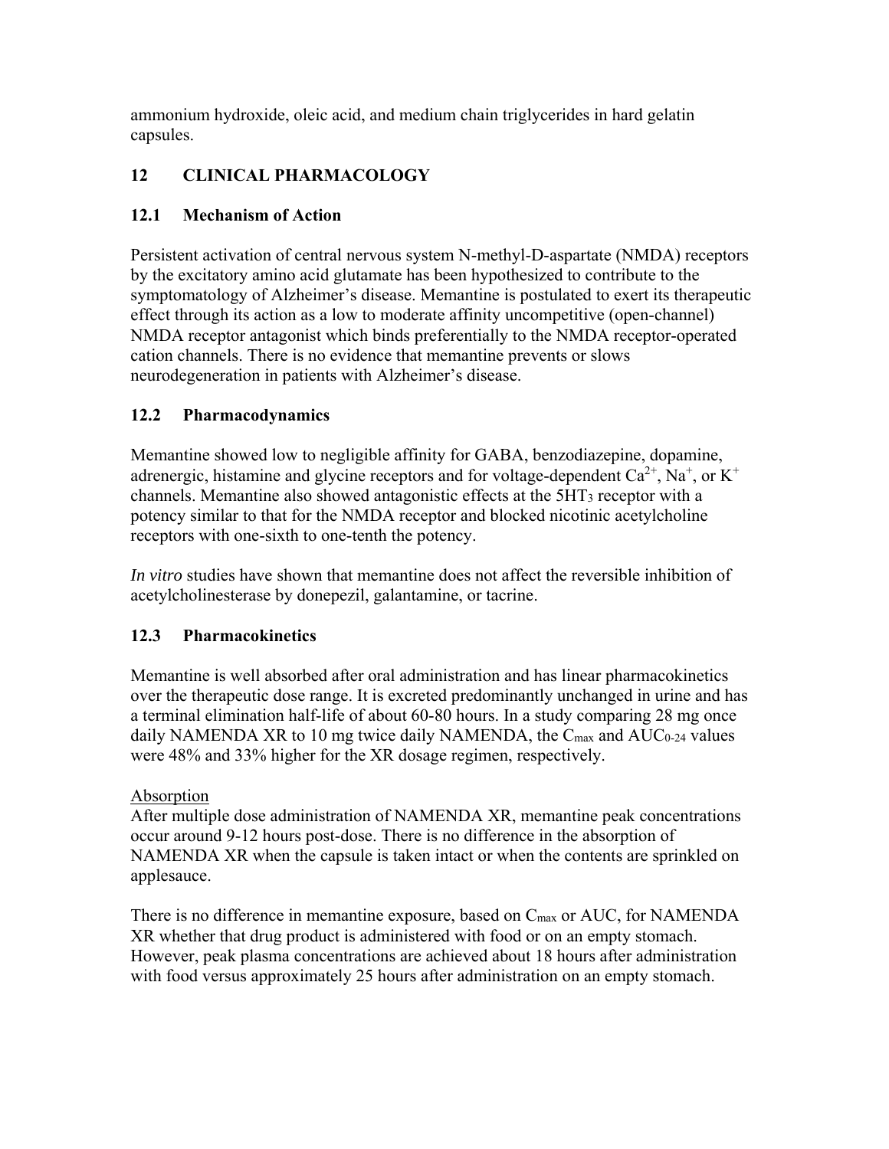ammonium hydroxide, oleic acid, and medium chain triglycerides in hard gelatin capsules.

# **12 CLINICAL PHARMACOLOGY**

## **12.1 Mechanism of Action**

Persistent activation of central nervous system N-methyl-D-aspartate (NMDA) receptors by the excitatory amino acid glutamate has been hypothesized to contribute to the symptomatology of Alzheimer's disease. Memantine is postulated to exert its therapeutic effect through its action as a low to moderate affinity uncompetitive (open-channel) NMDA receptor antagonist which binds preferentially to the NMDA receptor-operated cation channels. There is no evidence that memantine prevents or slows neurodegeneration in patients with Alzheimer's disease.

# **12.2 Pharmacodynamics**

Memantine showed low to negligible affinity for GABA, benzodiazepine, dopamine, adrenergic, histamine and glycine receptors and for voltage-dependent  $Ca^{2+}$ , Na<sup>+</sup>, or K<sup>+</sup> channels. Memantine also showed antagonistic effects at the 5HT3 receptor with a potency similar to that for the NMDA receptor and blocked nicotinic acetylcholine receptors with one-sixth to one-tenth the potency.

*In vitro* studies have shown that memantine does not affect the reversible inhibition of acetylcholinesterase by donepezil, galantamine, or tacrine.

## **12.3 Pharmacokinetics**

Memantine is well absorbed after oral administration and has linear pharmacokinetics over the therapeutic dose range. It is excreted predominantly unchanged in urine and has a terminal elimination half-life of about 60-80 hours. In a study comparing 28 mg once daily NAMENDA XR to 10 mg twice daily NAMENDA, the  $C_{\text{max}}$  and  $AUC_{0.24}$  values were 48% and 33% higher for the XR dosage regimen, respectively.

## Absorption

After multiple dose administration of NAMENDA XR, memantine peak concentrations occur around 9-12 hours post-dose. There is no difference in the absorption of NAMENDA XR when the capsule is taken intact or when the contents are sprinkled on applesauce.

There is no difference in memantine exposure, based on Cmax or AUC, for NAMENDA XR whether that drug product is administered with food or on an empty stomach. However, peak plasma concentrations are achieved about 18 hours after administration with food versus approximately 25 hours after administration on an empty stomach.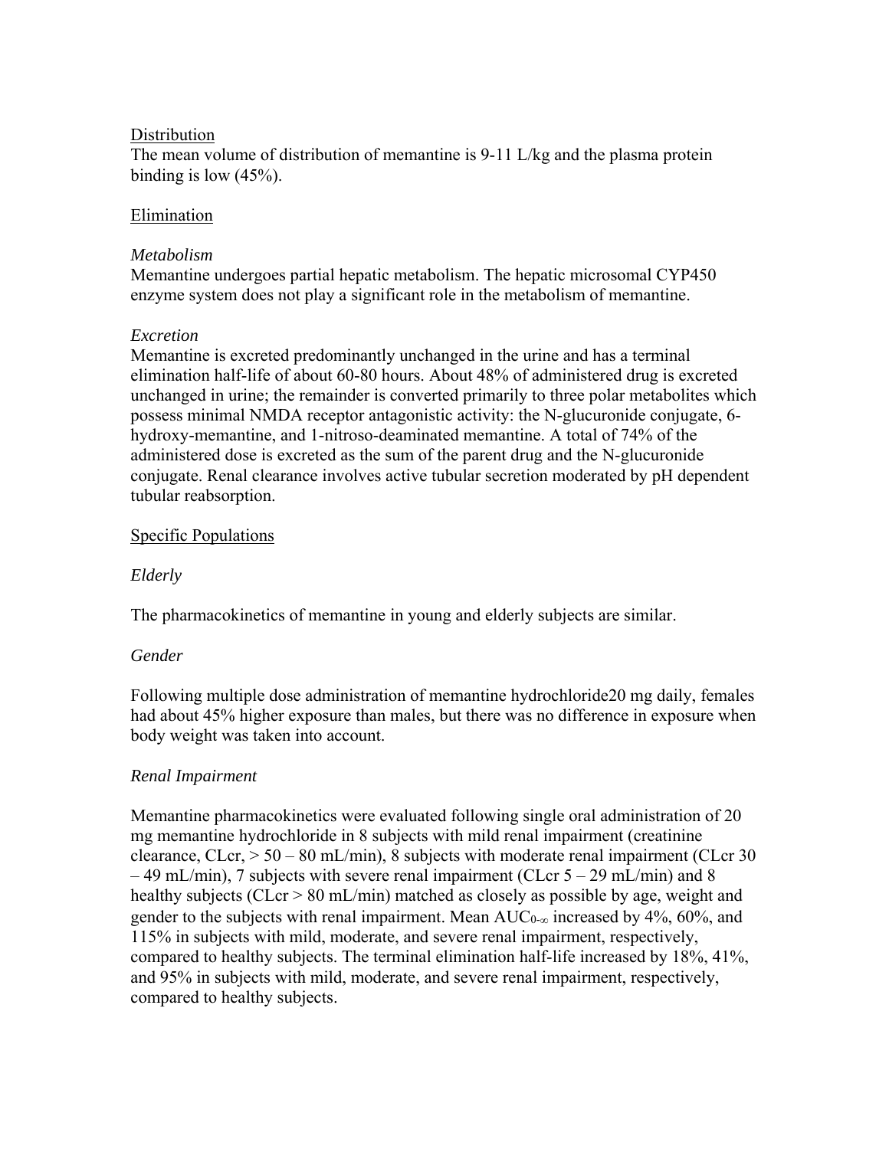### **Distribution**

The mean volume of distribution of memantine is 9-11 L/kg and the plasma protein binding is low  $(45%)$ .

### **Elimination**

### *Metabolism*

Memantine undergoes partial hepatic metabolism. The hepatic microsomal CYP450 enzyme system does not play a significant role in the metabolism of memantine.

## *Excretion*

Memantine is excreted predominantly unchanged in the urine and has a terminal elimination half-life of about 60-80 hours. About 48% of administered drug is excreted unchanged in urine; the remainder is converted primarily to three polar metabolites which possess minimal NMDA receptor antagonistic activity: the N-glucuronide conjugate, 6 hydroxy-memantine, and 1-nitroso-deaminated memantine. A total of 74% of the administered dose is excreted as the sum of the parent drug and the N-glucuronide conjugate. Renal clearance involves active tubular secretion moderated by pH dependent tubular reabsorption.

## Specific Populations

## *Elderly*

The pharmacokinetics of memantine in young and elderly subjects are similar.

## *Gender*

Following multiple dose administration of memantine hydrochloride20 mg daily, females had about 45% higher exposure than males, but there was no difference in exposure when body weight was taken into account.

## *Renal Impairment*

Memantine pharmacokinetics were evaluated following single oral administration of 20 mg memantine hydrochloride in 8 subjects with mild renal impairment (creatinine clearance,  $CLcr$ ,  $> 50 - 80$  mL/min), 8 subjects with moderate renal impairment (CLcr 30)  $-49$  mL/min), 7 subjects with severe renal impairment (CLcr  $5 - 29$  mL/min) and 8 healthy subjects (CLcr > 80 mL/min) matched as closely as possible by age, weight and gender to the subjects with renal impairment. Mean  $AUC_{0-\infty}$  increased by 4%, 60%, and 115% in subjects with mild, moderate, and severe renal impairment, respectively, compared to healthy subjects. The terminal elimination half-life increased by 18%, 41%, and 95% in subjects with mild, moderate, and severe renal impairment, respectively, compared to healthy subjects.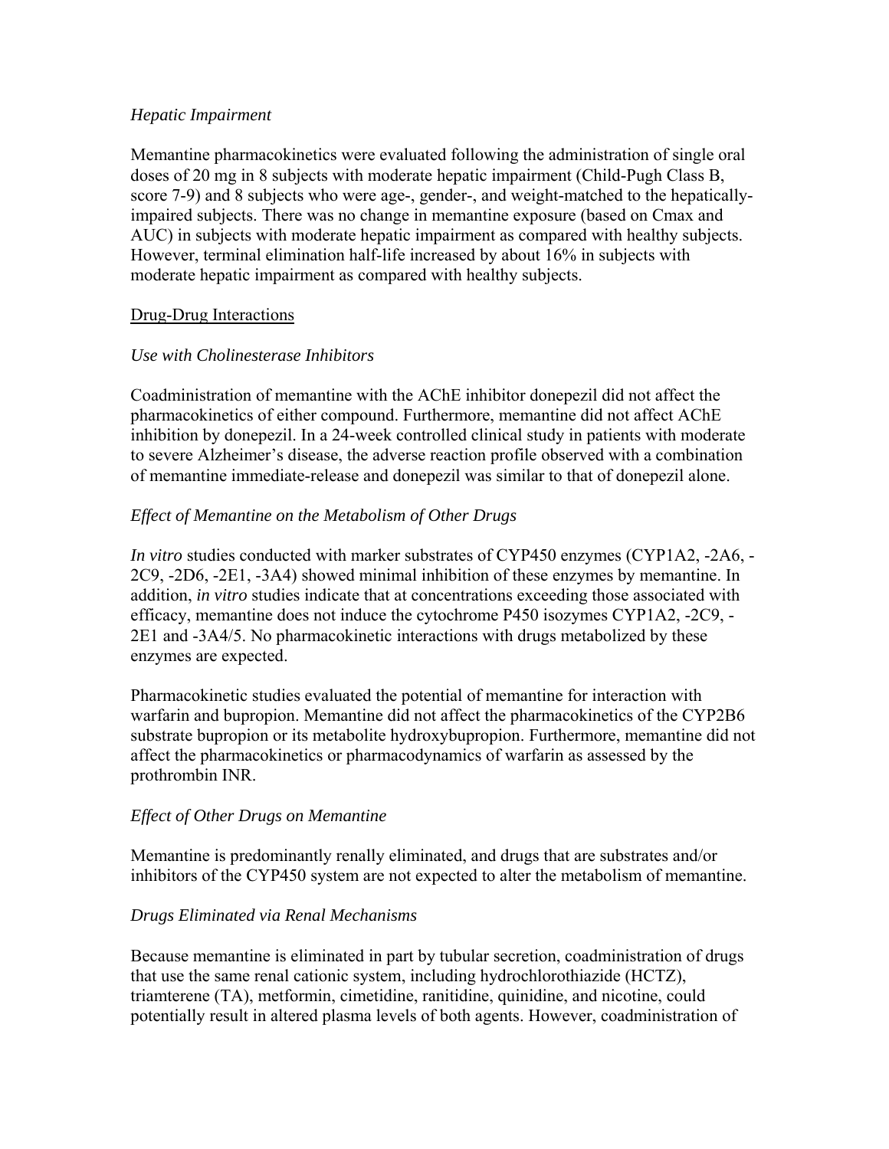#### *Hepatic Impairment*

Memantine pharmacokinetics were evaluated following the administration of single oral doses of 20 mg in 8 subjects with moderate hepatic impairment (Child-Pugh Class B, score 7-9) and 8 subjects who were age-, gender-, and weight-matched to the hepaticallyimpaired subjects. There was no change in memantine exposure (based on Cmax and AUC) in subjects with moderate hepatic impairment as compared with healthy subjects. However, terminal elimination half-life increased by about 16% in subjects with moderate hepatic impairment as compared with healthy subjects.

## Drug-Drug Interactions

### *Use with Cholinesterase Inhibitors*

Coadministration of memantine with the AChE inhibitor donepezil did not affect the pharmacokinetics of either compound. Furthermore, memantine did not affect AChE inhibition by donepezil. In a 24-week controlled clinical study in patients with moderate to severe Alzheimer's disease, the adverse reaction profile observed with a combination of memantine immediate-release and donepezil was similar to that of donepezil alone.

### *Effect of Memantine on the Metabolism of Other Drugs*

*In vitro* studies conducted with marker substrates of CYP450 enzymes (CYP1A2, -2A6, - 2C9, -2D6, -2E1, -3A4) showed minimal inhibition of these enzymes by memantine. In addition, *in vitro* studies indicate that at concentrations exceeding those associated with efficacy, memantine does not induce the cytochrome P450 isozymes CYP1A2, -2C9, - 2E1 and -3A4/5. No pharmacokinetic interactions with drugs metabolized by these enzymes are expected.

Pharmacokinetic studies evaluated the potential of memantine for interaction with warfarin and bupropion. Memantine did not affect the pharmacokinetics of the CYP2B6 substrate bupropion or its metabolite hydroxybupropion. Furthermore, memantine did not affect the pharmacokinetics or pharmacodynamics of warfarin as assessed by the prothrombin INR.

#### *Effect of Other Drugs on Memantine*

Memantine is predominantly renally eliminated, and drugs that are substrates and/or inhibitors of the CYP450 system are not expected to alter the metabolism of memantine.

#### *Drugs Eliminated via Renal Mechanisms*

Because memantine is eliminated in part by tubular secretion, coadministration of drugs that use the same renal cationic system, including hydrochlorothiazide (HCTZ), triamterene (TA), metformin, cimetidine, ranitidine, quinidine, and nicotine, could potentially result in altered plasma levels of both agents. However, coadministration of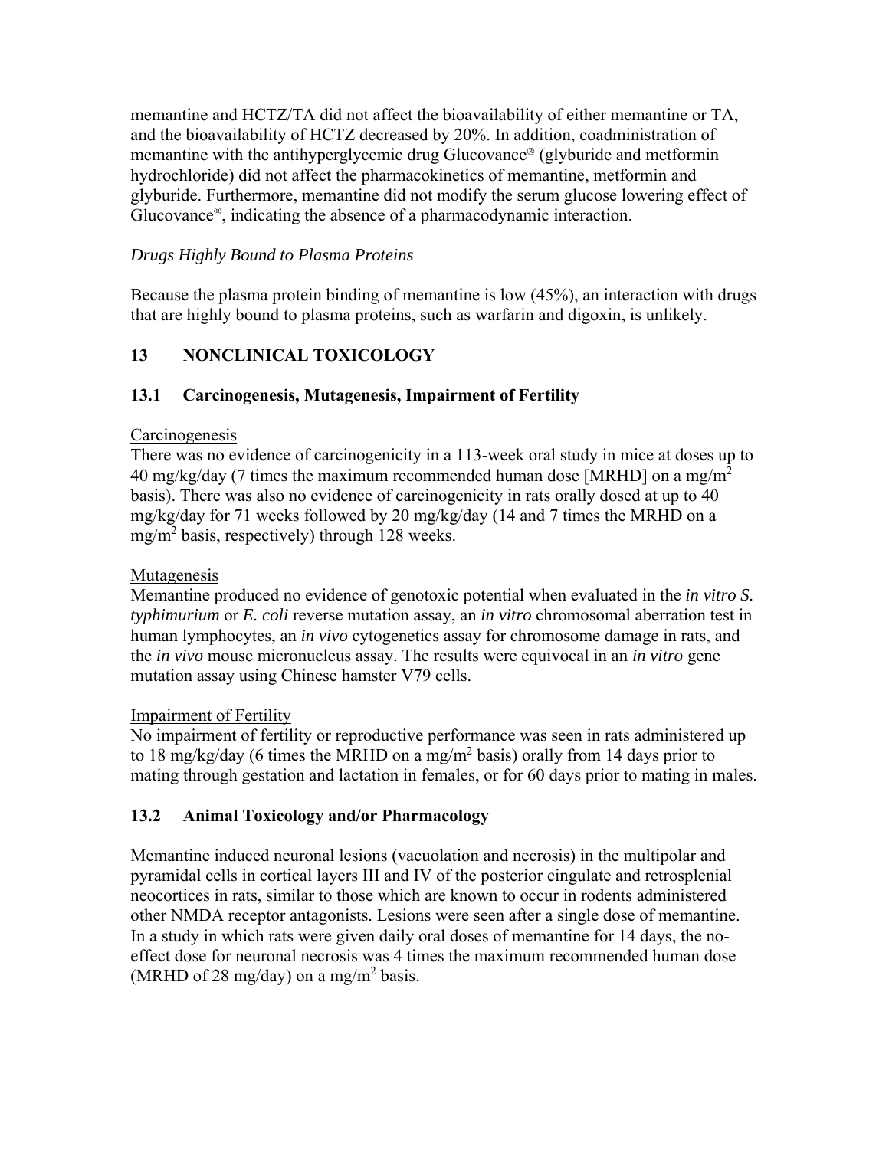memantine and HCTZ/TA did not affect the bioavailability of either memantine or TA, and the bioavailability of HCTZ decreased by 20%. In addition, coadministration of memantine with the antihyperglycemic drug Glucovance<sup>®</sup> (glyburide and metformin hydrochloride) did not affect the pharmacokinetics of memantine, metformin and glyburide. Furthermore, memantine did not modify the serum glucose lowering effect of Glucovance®, indicating the absence of a pharmacodynamic interaction.

## *Drugs Highly Bound to Plasma Proteins*

Because the plasma protein binding of memantine is low (45%), an interaction with drugs that are highly bound to plasma proteins, such as warfarin and digoxin, is unlikely.

# **13 NONCLINICAL TOXICOLOGY**

## **13.1 Carcinogenesis, Mutagenesis, Impairment of Fertility**

### **Carcinogenesis**

There was no evidence of carcinogenicity in a 113-week oral study in mice at doses up to 40 mg/kg/day (7 times the maximum recommended human dose [MRHD] on a mg/m<sup>2</sup> basis). There was also no evidence of carcinogenicity in rats orally dosed at up to 40 mg/kg/day for 71 weeks followed by 20 mg/kg/day (14 and 7 times the MRHD on a mg/m2 basis, respectively) through 128 weeks.

### Mutagenesis

Memantine produced no evidence of genotoxic potential when evaluated in the *in vitro S. typhimurium* or *E. coli* reverse mutation assay, an *in vitro* chromosomal aberration test in human lymphocytes, an *in vivo* cytogenetics assay for chromosome damage in rats, and the *in vivo* mouse micronucleus assay. The results were equivocal in an *in vitro* gene mutation assay using Chinese hamster V79 cells.

## Impairment of Fertility

No impairment of fertility or reproductive performance was seen in rats administered up to 18 mg/kg/day (6 times the MRHD on a mg/m<sup>2</sup> basis) orally from 14 days prior to mating through gestation and lactation in females, or for 60 days prior to mating in males.

## **13.2 Animal Toxicology and/or Pharmacology**

Memantine induced neuronal lesions (vacuolation and necrosis) in the multipolar and pyramidal cells in cortical layers III and IV of the posterior cingulate and retrosplenial neocortices in rats, similar to those which are known to occur in rodents administered other NMDA receptor antagonists. Lesions were seen after a single dose of memantine. In a study in which rats were given daily oral doses of memantine for 14 days, the noeffect dose for neuronal necrosis was 4 times the maximum recommended human dose (MRHD of 28 mg/day) on a mg/m<sup>2</sup> basis.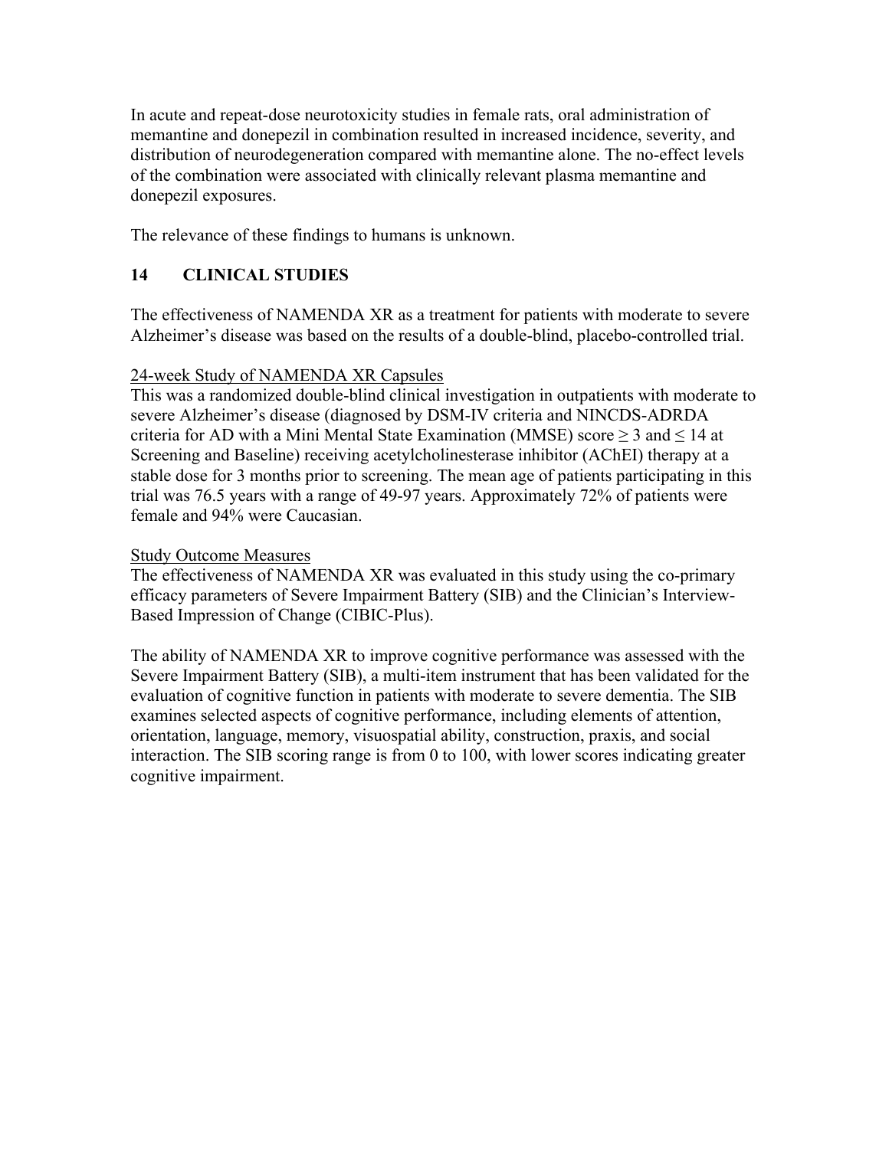In acute and repeat-dose neurotoxicity studies in female rats, oral administration of memantine and donepezil in combination resulted in increased incidence, severity, and distribution of neurodegeneration compared with memantine alone. The no-effect levels of the combination were associated with clinically relevant plasma memantine and donepezil exposures.

The relevance of these findings to humans is unknown.

# **14 CLINICAL STUDIES**

The effectiveness of NAMENDA XR as a treatment for patients with moderate to severe Alzheimer's disease was based on the results of a double-blind, placebo-controlled trial.

## 24-week Study of NAMENDA XR Capsules

This was a randomized double-blind clinical investigation in outpatients with moderate to severe Alzheimer's disease (diagnosed by DSM-IV criteria and NINCDS-ADRDA criteria for AD with a Mini Mental State Examination (MMSE) score ≥ 3 and ≤ 14 at Screening and Baseline) receiving acetylcholinesterase inhibitor (AChEI) therapy at a stable dose for 3 months prior to screening. The mean age of patients participating in this trial was 76.5 years with a range of 49-97 years. Approximately 72% of patients were female and 94% were Caucasian.

## Study Outcome Measures

The effectiveness of NAMENDA XR was evaluated in this study using the co-primary efficacy parameters of Severe Impairment Battery (SIB) and the Clinician's Interview-Based Impression of Change (CIBIC-Plus).

The ability of NAMENDA XR to improve cognitive performance was assessed with the Severe Impairment Battery (SIB), a multi-item instrument that has been validated for the evaluation of cognitive function in patients with moderate to severe dementia. The SIB examines selected aspects of cognitive performance, including elements of attention, orientation, language, memory, visuospatial ability, construction, praxis, and social interaction. The SIB scoring range is from 0 to 100, with lower scores indicating greater cognitive impairment.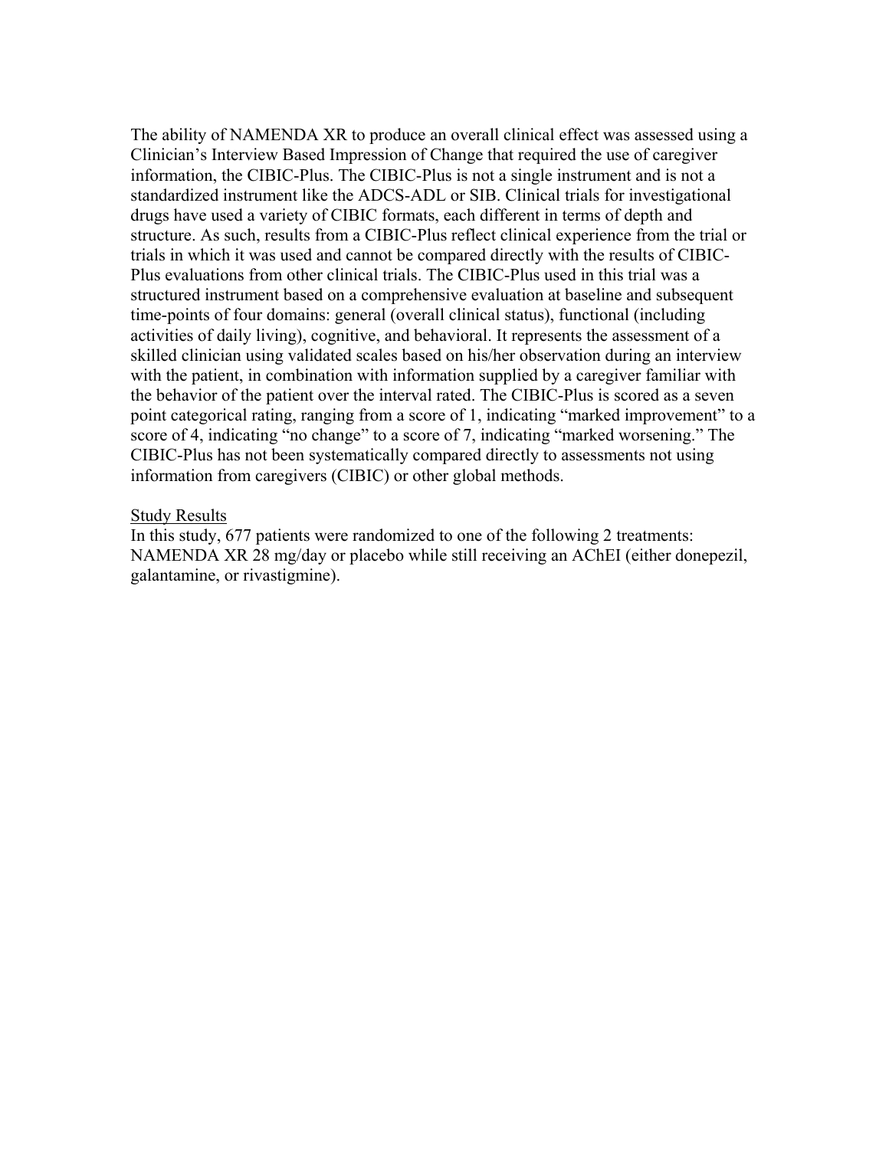The ability of NAMENDA XR to produce an overall clinical effect was assessed using a Clinician's Interview Based Impression of Change that required the use of caregiver information, the CIBIC-Plus. The CIBIC-Plus is not a single instrument and is not a standardized instrument like the ADCS-ADL or SIB. Clinical trials for investigational drugs have used a variety of CIBIC formats, each different in terms of depth and structure. As such, results from a CIBIC-Plus reflect clinical experience from the trial or trials in which it was used and cannot be compared directly with the results of CIBIC-Plus evaluations from other clinical trials. The CIBIC-Plus used in this trial was a structured instrument based on a comprehensive evaluation at baseline and subsequent time-points of four domains: general (overall clinical status), functional (including activities of daily living), cognitive, and behavioral. It represents the assessment of a skilled clinician using validated scales based on his/her observation during an interview with the patient, in combination with information supplied by a caregiver familiar with the behavior of the patient over the interval rated. The CIBIC-Plus is scored as a seven point categorical rating, ranging from a score of 1, indicating "marked improvement" to a score of 4, indicating "no change" to a score of 7, indicating "marked worsening." The CIBIC-Plus has not been systematically compared directly to assessments not using information from caregivers (CIBIC) or other global methods.

#### Study Results

In this study, 677 patients were randomized to one of the following 2 treatments: NAMENDA XR 28 mg/day or placebo while still receiving an AChEI (either donepezil, galantamine, or rivastigmine).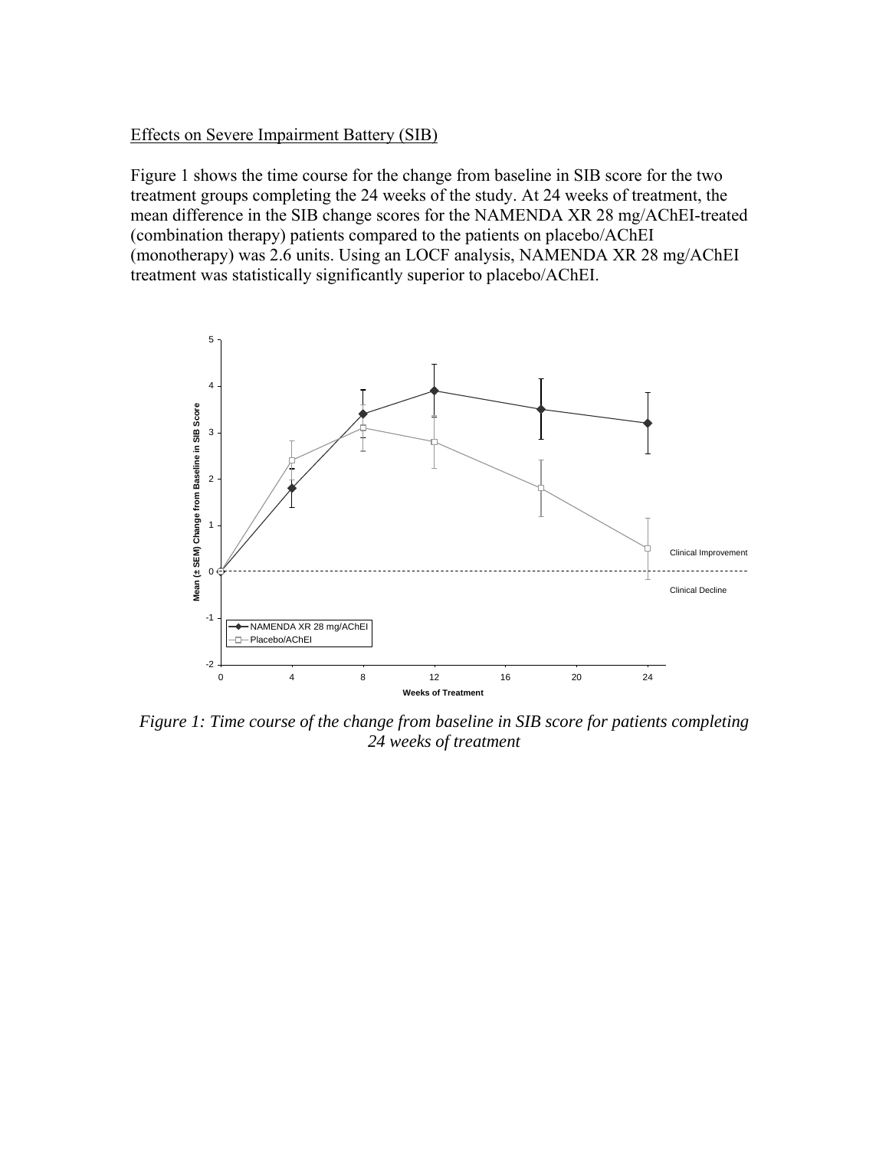### Effects on Severe Impairment Battery (SIB)

Figure 1 shows the time course for the change from baseline in SIB score for the two treatment groups completing the 24 weeks of the study. At 24 weeks of treatment, the mean difference in the SIB change scores for the NAMENDA XR 28 mg/AChEI-treated (combination therapy) patients compared to the patients on placebo/AChEI (monotherapy) was 2.6 units. Using an LOCF analysis, NAMENDA XR 28 mg/AChEI treatment was statistically significantly superior to placebo/AChEI.



*Figure 1: Time course of the change from baseline in SIB score for patients completing 24 weeks of treatment*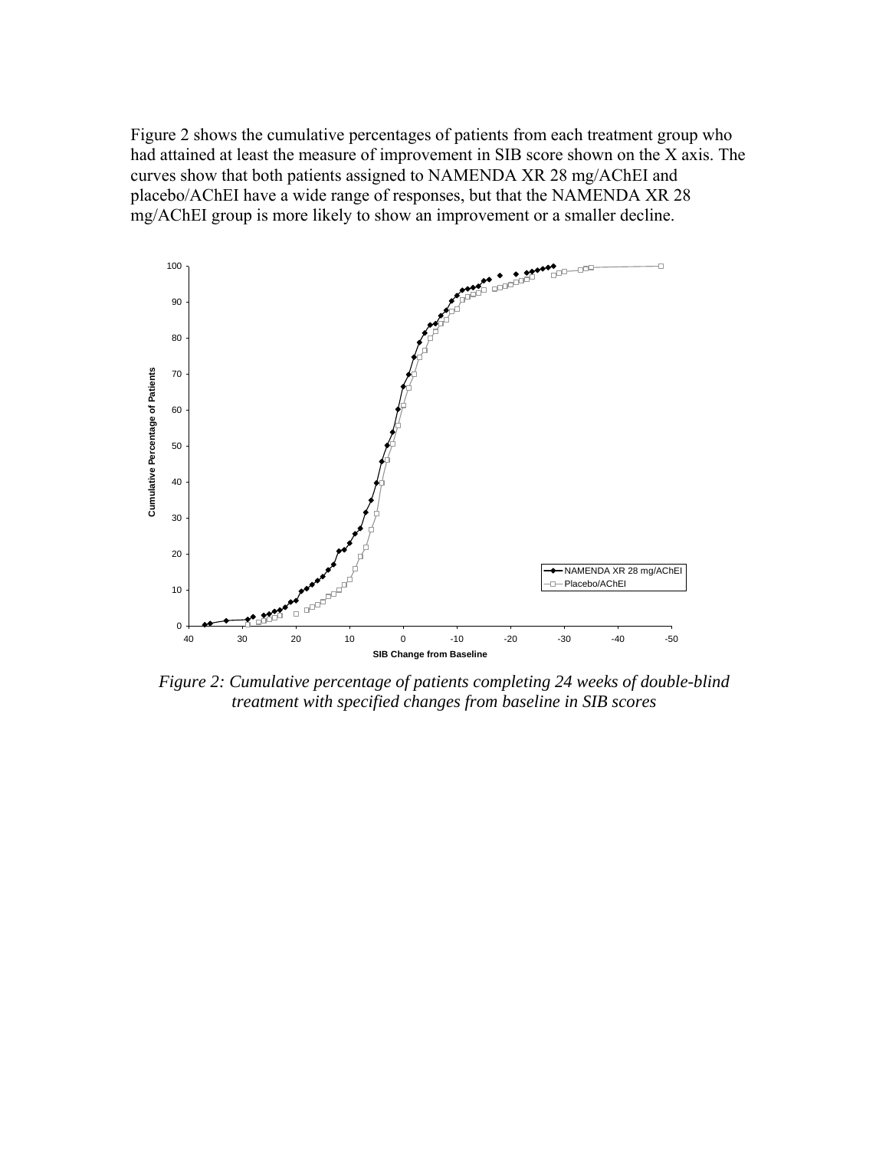Figure 2 shows the cumulative percentages of patients from each treatment group who had attained at least the measure of improvement in SIB score shown on the X axis. The curves show that both patients assigned to NAMENDA XR 28 mg/AChEI and placebo/AChEI have a wide range of responses, but that the NAMENDA XR 28 mg/AChEI group is more likely to show an improvement or a smaller decline.



*Figure 2: Cumulative percentage of patients completing 24 weeks of double-blind treatment with specified changes from baseline in SIB scores*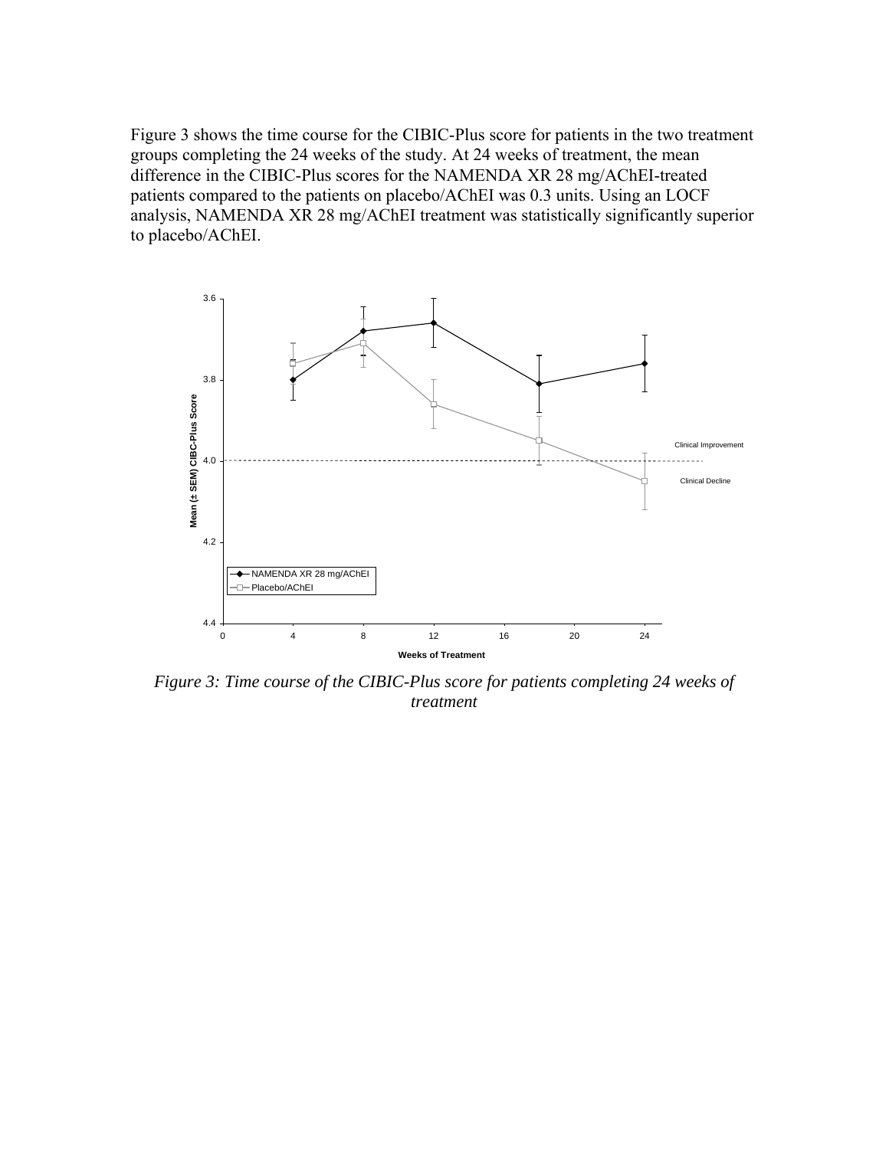Figure 3 shows the time course for the CIBIC-Plus score for patients in the two treatment groups completing the 24 weeks of the study. At 24 weeks of treatment, the mean difference in the CIBIC-Plus scores for the NAMENDA XR 28 mg/AChEI-treated patients compared to the patients on placebo/AChEI was 0.3 units. Using an LOCF analysis, NAMENDA XR 28 mg/AChEI treatment was statistically significantly superior to placebo/AChEI.



*Figure 3: Time course of the CIBIC-Plus score for patients completing 24 weeks of treatment*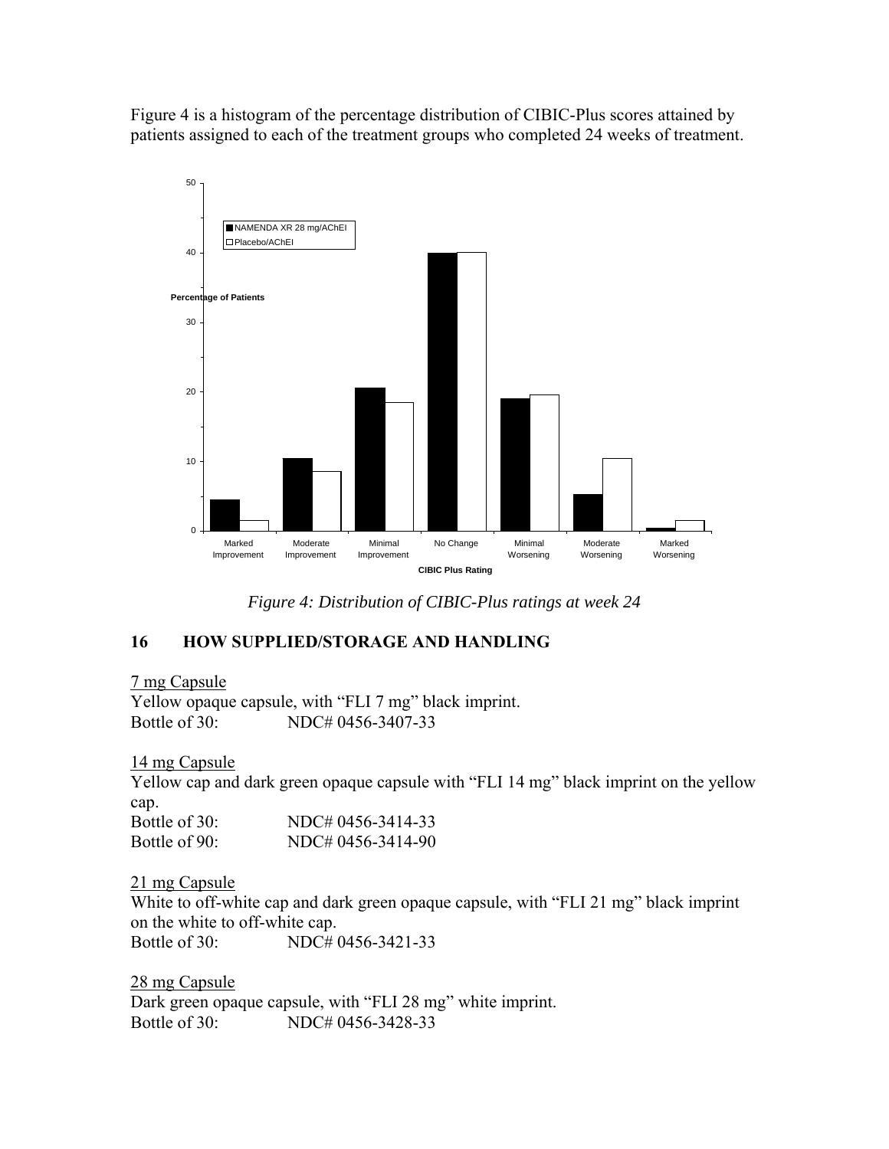Figure 4 is a histogram of the percentage distribution of CIBIC-Plus scores attained by patients assigned to each of the treatment groups who completed 24 weeks of treatment.



*Figure 4: Distribution of CIBIC-Plus ratings at week 24* 

## **16 HOW SUPPLIED/STORAGE AND HANDLING**

7 mg Capsule

Yellow opaque capsule, with "FLI 7 mg" black imprint. Bottle of 30: NDC# 0456-3407-33

14 mg Capsule

Yellow cap and dark green opaque capsule with "FLI 14 mg" black imprint on the yellow cap.

| Bottle of 30: | NDC# 0456-3414-33 |
|---------------|-------------------|
| Bottle of 90: | NDC# 0456-3414-90 |

21 mg Capsule

White to off-white cap and dark green opaque capsule, with "FLI 21 mg" black imprint on the white to off-white cap.

Bottle of 30: NDC# 0456-3421-33

28 mg Capsule Dark green opaque capsule, with "FLI 28 mg" white imprint. Bottle of 30: NDC# 0456-3428-33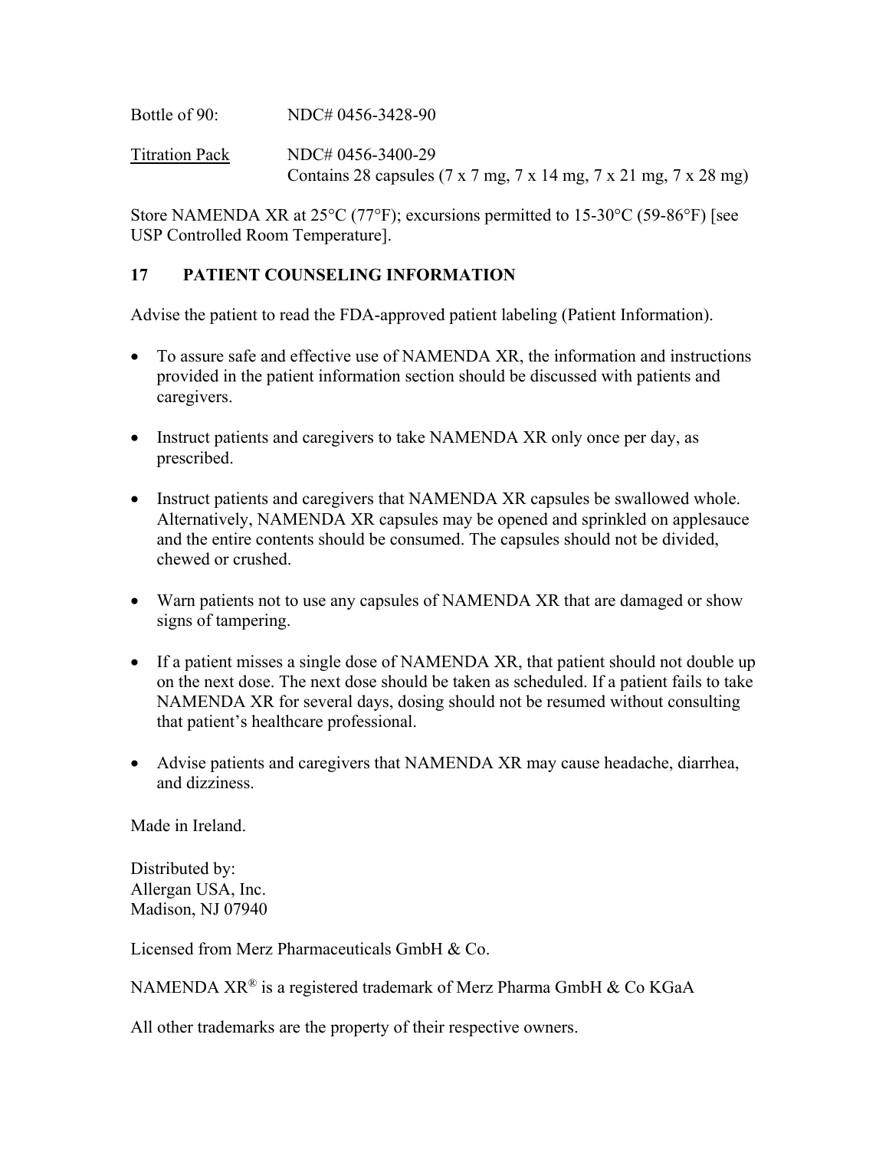Bottle of 90: NDC# 0456-3428-90

Titration Pack NDC# 0456-3400-29 Contains 28 capsules (7 x 7 mg, 7 x 14 mg, 7 x 21 mg, 7 x 28 mg)

Store NAMENDA XR at 25°C (77°F); excursions permitted to 15-30°C (59-86°F) [see USP Controlled Room Temperature].

## **17 PATIENT COUNSELING INFORMATION**

Advise the patient to read the FDA-approved patient labeling (Patient Information).

- To assure safe and effective use of NAMENDA XR, the information and instructions provided in the patient information section should be discussed with patients and caregivers.
- Instruct patients and caregivers to take NAMENDA XR only once per day, as prescribed.
- Instruct patients and caregivers that NAMENDA XR capsules be swallowed whole. Alternatively, NAMENDA XR capsules may be opened and sprinkled on applesauce and the entire contents should be consumed. The capsules should not be divided, chewed or crushed.
- Warn patients not to use any capsules of NAMENDA XR that are damaged or show signs of tampering.
- If a patient misses a single dose of NAMENDA XR, that patient should not double up on the next dose. The next dose should be taken as scheduled. If a patient fails to take NAMENDA XR for several days, dosing should not be resumed without consulting that patient's healthcare professional.
- Advise patients and caregivers that NAMENDA XR may cause headache, diarrhea, and dizziness.

Made in Ireland.

Distributed by: Allergan USA, Inc. Madison, NJ 07940

Licensed from Merz Pharmaceuticals GmbH & Co.

NAMENDA XR<sup>®</sup> is a registered trademark of Merz Pharma GmbH & Co KGaA

All other trademarks are the property of their respective owners.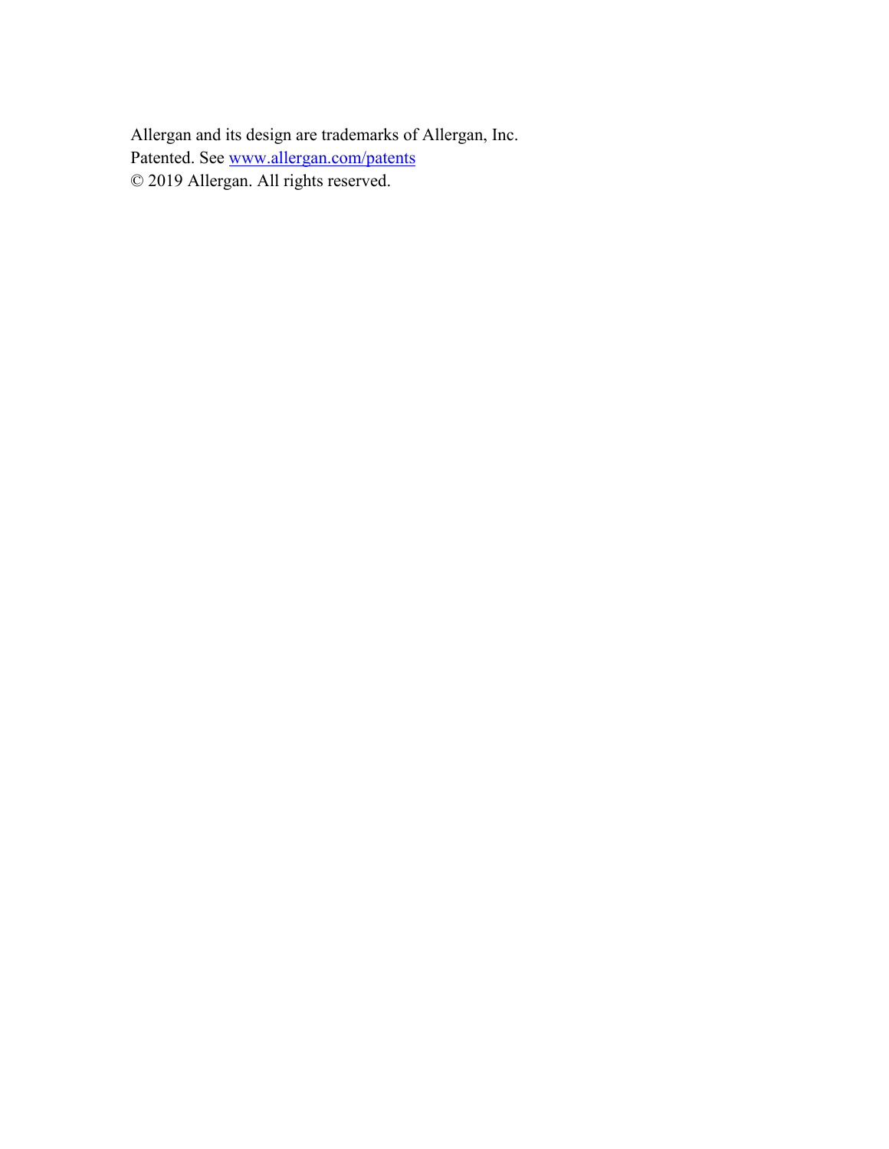Allergan and its design are trademarks of Allergan, Inc. Patented. See www.allergan.com/patents © 2019 Allergan. All rights reserved.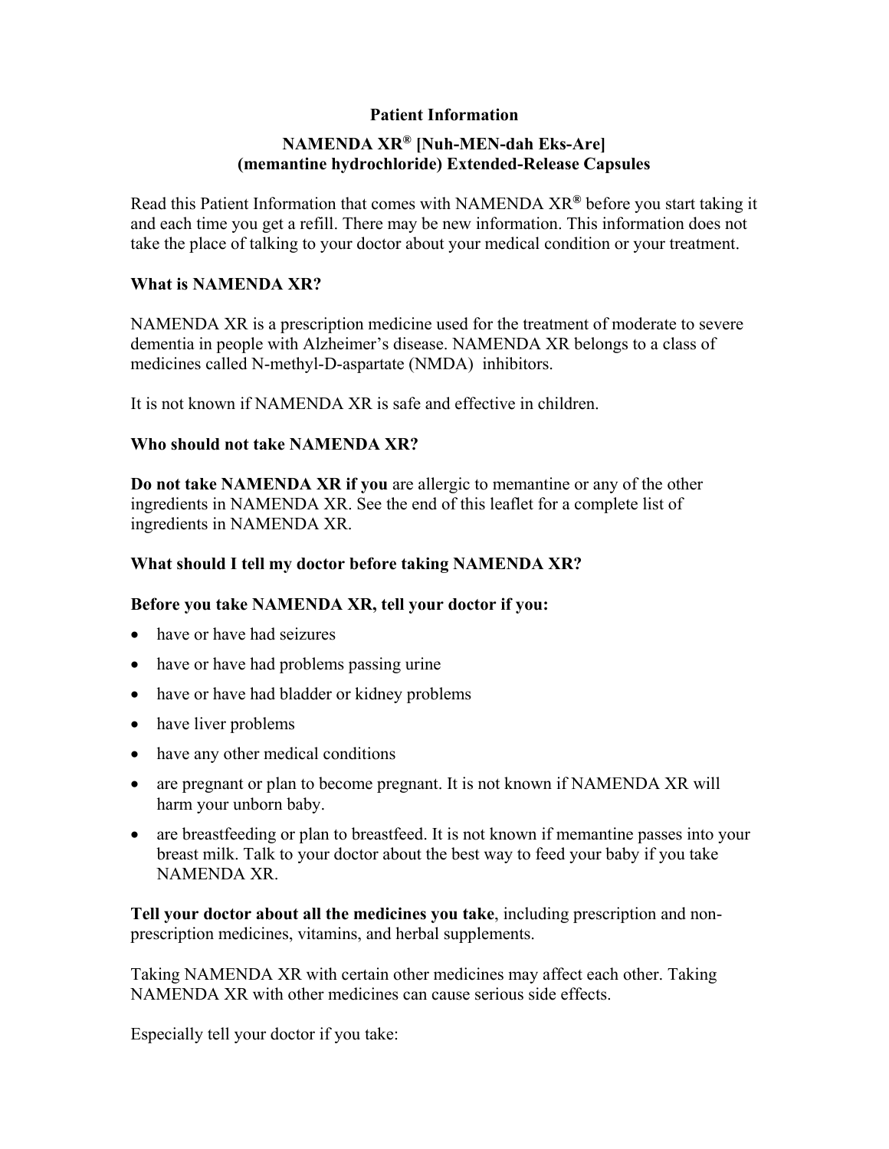### **Patient Information**

## **NAMENDA XR® [Nuh-MEN-dah Eks-Are] (memantine hydrochloride) Extended-Release Capsules**

Read this Patient Information that comes with NAMENDA XR**®** before you start taking it and each time you get a refill. There may be new information. This information does not take the place of talking to your doctor about your medical condition or your treatment.

#### **What is NAMENDA XR?**

NAMENDA XR is a prescription medicine used for the treatment of moderate to severe dementia in people with Alzheimer's disease. NAMENDA XR belongs to a class of medicines called N-methyl-D-aspartate (NMDA) inhibitors.

It is not known if NAMENDA XR is safe and effective in children.

#### **Who should not take NAMENDA XR?**

**Do not take NAMENDA XR if you** are allergic to memantine or any of the other ingredients in NAMENDA XR. See the end of this leaflet for a complete list of ingredients in NAMENDA XR.

#### **What should I tell my doctor before taking NAMENDA XR?**

#### **Before you take NAMENDA XR, tell your doctor if you:**

- have or have had seizures
- have or have had problems passing urine
- have or have had bladder or kidney problems
- have liver problems
- have any other medical conditions
- are pregnant or plan to become pregnant. It is not known if NAMENDA XR will harm your unborn baby.
- are breastfeeding or plan to breastfeed. It is not known if memantine passes into your breast milk. Talk to your doctor about the best way to feed your baby if you take NAMENDA XR.

**Tell your doctor about all the medicines you take**, including prescription and nonprescription medicines, vitamins, and herbal supplements.

Taking NAMENDA XR with certain other medicines may affect each other. Taking NAMENDA XR with other medicines can cause serious side effects.

Especially tell your doctor if you take: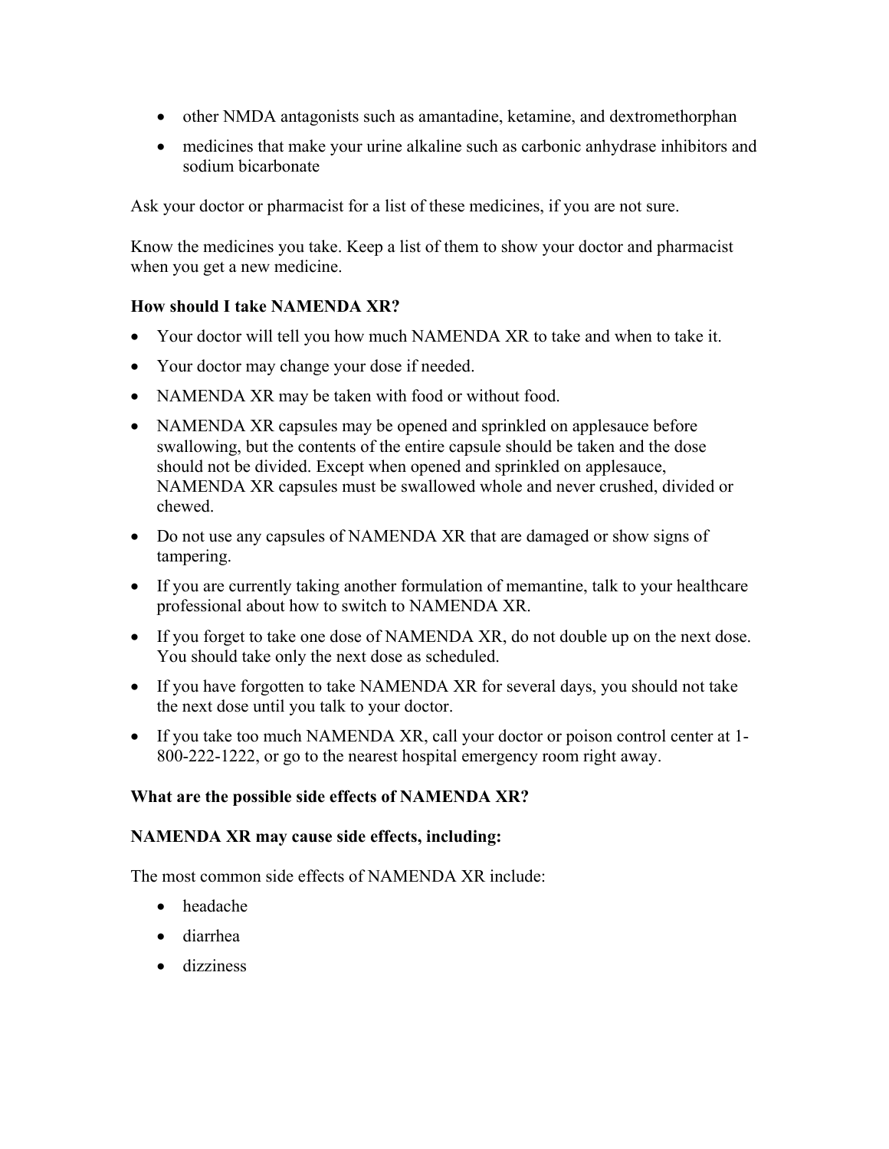- other NMDA antagonists such as amantadine, ketamine, and dextromethorphan
- medicines that make your urine alkaline such as carbonic anhydrase inhibitors and sodium bicarbonate

Ask your doctor or pharmacist for a list of these medicines, if you are not sure.

Know the medicines you take. Keep a list of them to show your doctor and pharmacist when you get a new medicine.

## **How should I take NAMENDA XR?**

- Your doctor will tell you how much NAMENDA XR to take and when to take it.
- Your doctor may change your dose if needed.
- NAMENDA XR may be taken with food or without food.
- NAMENDA XR capsules may be opened and sprinkled on applesauce before swallowing, but the contents of the entire capsule should be taken and the dose should not be divided. Except when opened and sprinkled on applesauce, NAMENDA XR capsules must be swallowed whole and never crushed, divided or chewed.
- Do not use any capsules of NAMENDA XR that are damaged or show signs of tampering.
- If you are currently taking another formulation of memantine, talk to your healthcare professional about how to switch to NAMENDA XR.
- If you forget to take one dose of NAMENDA XR, do not double up on the next dose. You should take only the next dose as scheduled.
- If you have forgotten to take NAMENDA XR for several days, you should not take the next dose until you talk to your doctor.
- If you take too much NAMENDA XR, call your doctor or poison control center at 1- 800-222-1222, or go to the nearest hospital emergency room right away.

## **What are the possible side effects of NAMENDA XR?**

## **NAMENDA XR may cause side effects, including:**

The most common side effects of NAMENDA XR include:

- headache
- diarrhea
- **dizziness**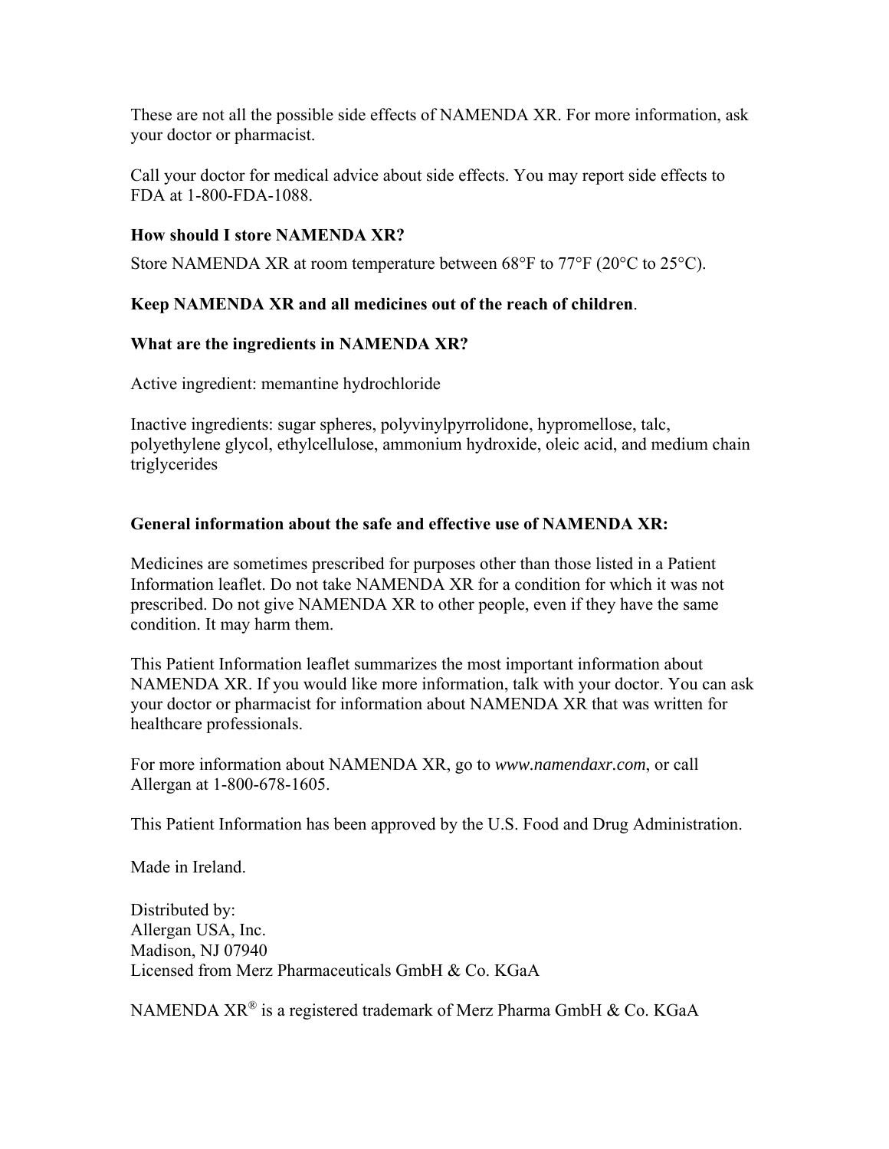These are not all the possible side effects of NAMENDA XR. For more information, ask your doctor or pharmacist.

Call your doctor for medical advice about side effects. You may report side effects to FDA at 1-800-FDA-1088.

## **How should I store NAMENDA XR?**

Store NAMENDA XR at room temperature between 68°F to 77°F (20°C to 25°C).

## **Keep NAMENDA XR and all medicines out of the reach of children**.

## **What are the ingredients in NAMENDA XR?**

Active ingredient: memantine hydrochloride

Inactive ingredients: sugar spheres, polyvinylpyrrolidone, hypromellose, talc, polyethylene glycol, ethylcellulose, ammonium hydroxide, oleic acid, and medium chain triglycerides

## **General information about the safe and effective use of NAMENDA XR:**

Medicines are sometimes prescribed for purposes other than those listed in a Patient Information leaflet. Do not take NAMENDA XR for a condition for which it was not prescribed. Do not give NAMENDA XR to other people, even if they have the same condition. It may harm them.

This Patient Information leaflet summarizes the most important information about NAMENDA XR. If you would like more information, talk with your doctor. You can ask your doctor or pharmacist for information about NAMENDA XR that was written for healthcare professionals.

For more information about NAMENDA XR, go to *www.namendaxr.com*, or call Allergan at 1-800-678-1605.

This Patient Information has been approved by the U.S. Food and Drug Administration.

Made in Ireland.

Distributed by: Allergan USA, Inc. Madison, NJ 07940 Licensed from Merz Pharmaceuticals GmbH & Co. KGaA

NAMENDA  $XR^{\circledR}$  is a registered trademark of Merz Pharma GmbH & Co. KGaA